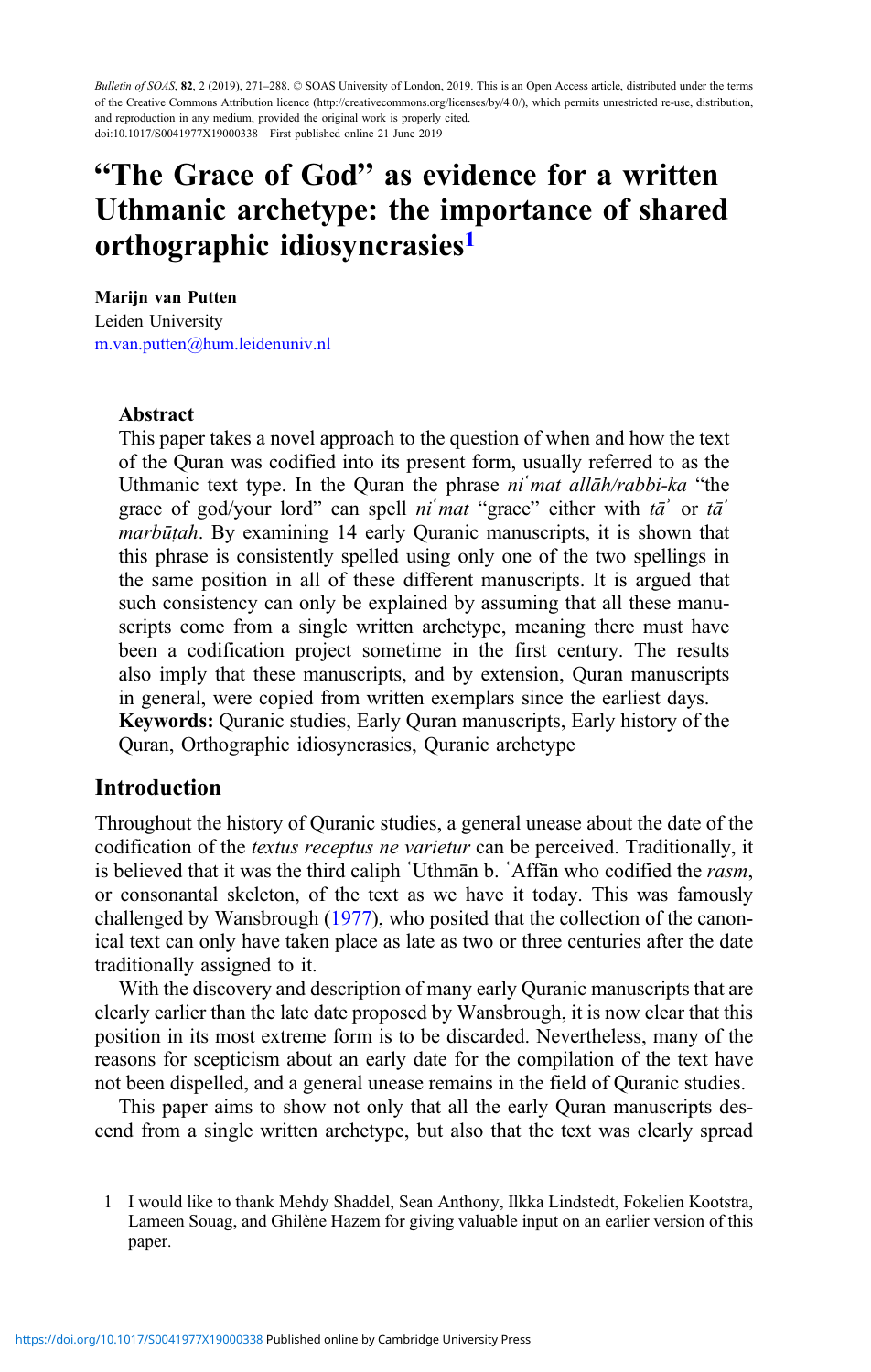Bulletin of SOAS, 82, 2 (2019), 271–288. © SOAS University of London, 2019. This is an Open Access article, distributed under the terms of the Creative Commons Attribution licence (http://creativecommons.org/licenses/by/4.0/), which permits unrestricted re-use, distribution, and reproduction in any medium, provided the original work is properly cited. doi:10.1017/S0041977X19000338 First published online 21 June 2019

# "The Grace of God" as evidence for a written Uthmanic archetype: the importance of shared orthographic idiosyncrasies<sup>1</sup>

#### Mariin van Putten

Leiden University [m.van.putten@hum.leidenuniv.nl](mailto:m.van.putten@hum.leidenuniv.nl)

#### Abstract

This paper takes a novel approach to the question of when and how the text of the Quran was codified into its present form, usually referred to as the Uthmanic text type. In the Ouran the phrase *ni'mat allāh/rabbi-ka* "the grace of god/your lord" can spell ni mat "grace" either with  $t\bar{a}$  or  $t\bar{a}$ marbūtah. By examining 14 early Ouranic manuscripts, it is shown that this phrase is consistently spelled using only one of the two spellings in the same position in all of these different manuscripts. It is argued that such consistency can only be explained by assuming that all these manuscripts come from a single written archetype, meaning there must have been a codification project sometime in the first century. The results also imply that these manuscripts, and by extension, Quran manuscripts in general, were copied from written exemplars since the earliest days. Keywords: Quranic studies, Early Quran manuscripts, Early history of the Quran, Orthographic idiosyncrasies, Quranic archetype

# Introduction

Throughout the history of Quranic studies, a general unease about the date of the codification of the textus receptus ne varietur can be perceived. Traditionally, it is believed that it was the third caliph ʿUthmān b. ʿAffān who codified the rasm, or consonantal skeleton, of the text as we have it today. This was famously challenged by Wansbrough [\(1977\)](#page-17-0), who posited that the collection of the canonical text can only have taken place as late as two or three centuries after the date traditionally assigned to it.

With the discovery and description of many early Quranic manuscripts that are clearly earlier than the late date proposed by Wansbrough, it is now clear that this position in its most extreme form is to be discarded. Nevertheless, many of the reasons for scepticism about an early date for the compilation of the text have not been dispelled, and a general unease remains in the field of Quranic studies.

This paper aims to show not only that all the early Quran manuscripts descend from a single written archetype, but also that the text was clearly spread

<sup>1</sup> I would like to thank Mehdy Shaddel, Sean Anthony, Ilkka Lindstedt, Fokelien Kootstra, Lameen Souag, and Ghilène Hazem for giving valuable input on an earlier version of this paper.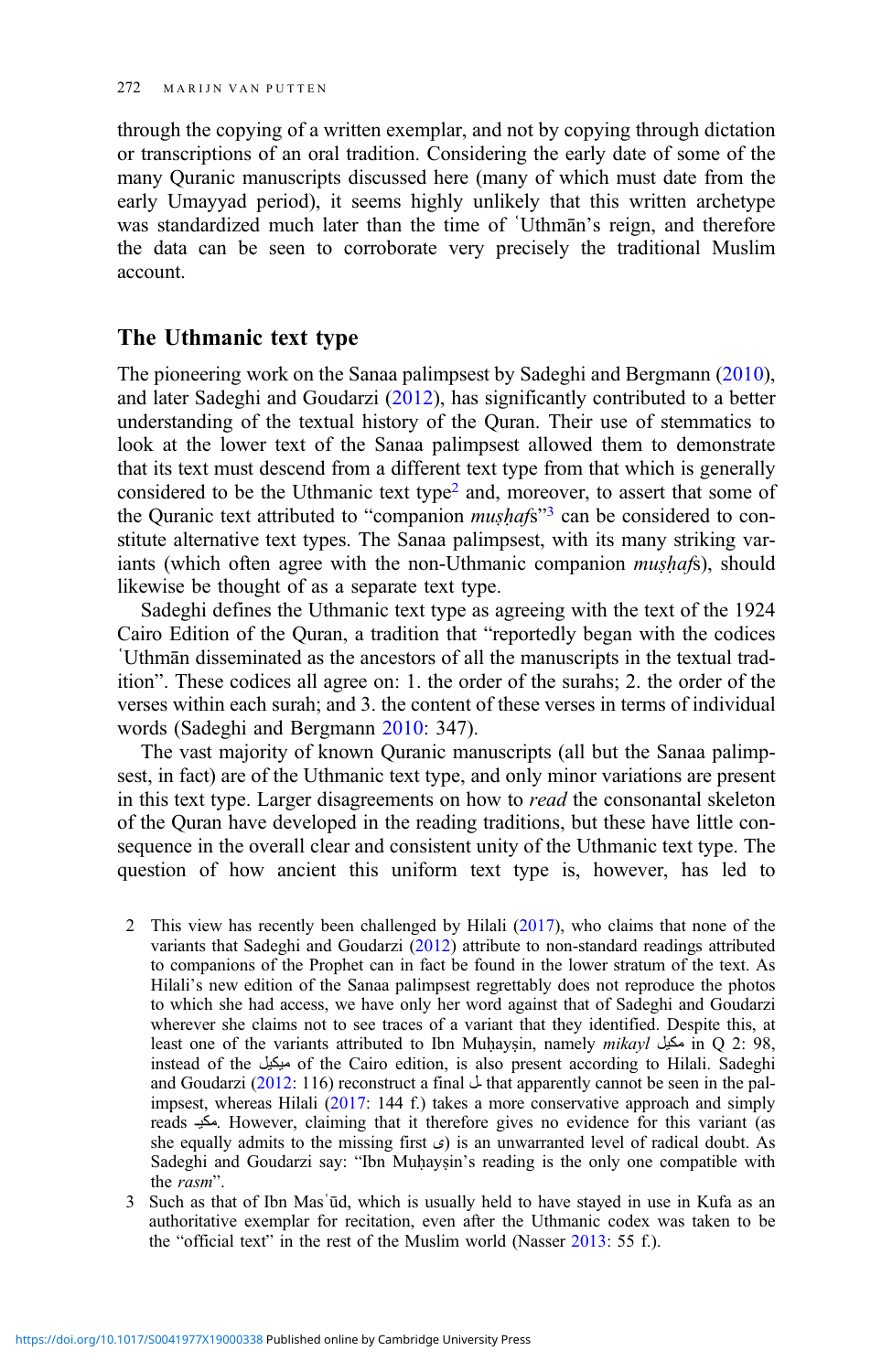through the copying of a written exemplar, and not by copying through dictation or transcriptions of an oral tradition. Considering the early date of some of the many Quranic manuscripts discussed here (many of which must date from the early Umayyad period), it seems highly unlikely that this written archetype was standardized much later than the time of ʿUthmān's reign, and therefore the data can be seen to corroborate very precisely the traditional Muslim account.

#### The Uthmanic text type

The pioneering work on the Sanaa palimpsest by Sadeghi and Bergmann [\(2010](#page-17-0)), and later Sadeghi and Goudarzi [\(2012](#page-17-0)), has significantly contributed to a better understanding of the textual history of the Quran. Their use of stemmatics to look at the lower text of the Sanaa palimpsest allowed them to demonstrate that its text must descend from a different text type from that which is generally considered to be the Uthmanic text type<sup>2</sup> and, moreover, to assert that some of the Quranic text attributed to "companion *mushafs*"<sup>3</sup> can be considered to constitute alternative text types. The Sanaa palimpsest, with its many striking variants (which often agree with the non-Uthmanic companion mushafs), should likewise be thought of as a separate text type.

Sadeghi defines the Uthmanic text type as agreeing with the text of the 1924 Cairo Edition of the Quran, a tradition that "reportedly began with the codices ʿUthmān disseminated as the ancestors of all the manuscripts in the textual tradition". These codices all agree on: 1. the order of the surahs; 2. the order of the verses within each surah; and 3. the content of these verses in terms of individual words (Sadeghi and Bergmann [2010](#page-17-0): 347).

The vast majority of known Quranic manuscripts (all but the Sanaa palimpsest, in fact) are of the Uthmanic text type, and only minor variations are present in this text type. Larger disagreements on how to read the consonantal skeleton of the Quran have developed in the reading traditions, but these have little consequence in the overall clear and consistent unity of the Uthmanic text type. The question of how ancient this uniform text type is, however, has led to

- 2 This view has recently been challenged by Hilali ([2017\)](#page-17-0), who claims that none of the variants that Sadeghi and Goudarzi [\(2012\)](#page-17-0) attribute to non-standard readings attributed to companions of the Prophet can in fact be found in the lower stratum of the text. As Hilali's new edition of the Sanaa palimpsest regrettably does not reproduce the photos to which she had access, we have only her word against that of Sadeghi and Goudarzi wherever she claims not to see traces of a variant that they identified. Despite this, at least one of the variants attributed to Ibn Muḥayṣin, namely mikayl مكيل in Q 2: 98, instead of the ميكيل of the Cairo edition, is also present according to Hilali. Sadeghi and Goudarzi [\(2012](#page-17-0): 116) reconstruct a final  $\perp$  that apparently cannot be seen in the palimpsest, whereas Hilali ([2017:](#page-17-0) 144 f.) takes a more conservative approach and simply reads مكيـ. However, claiming that it therefore gives no evidence for this variant (as she equally admits to the missing first  $\epsilon$  is an unwarranted level of radical doubt. As Sadeghi and Goudarzi say: "Ibn Muḥayṣin's reading is the only one compatible with the rasm".
- 3 Such as that of Ibn Masʿūd, which is usually held to have stayed in use in Kufa as an authoritative exemplar for recitation, even after the Uthmanic codex was taken to be the "official text" in the rest of the Muslim world (Nasser [2013](#page-17-0): 55 f.).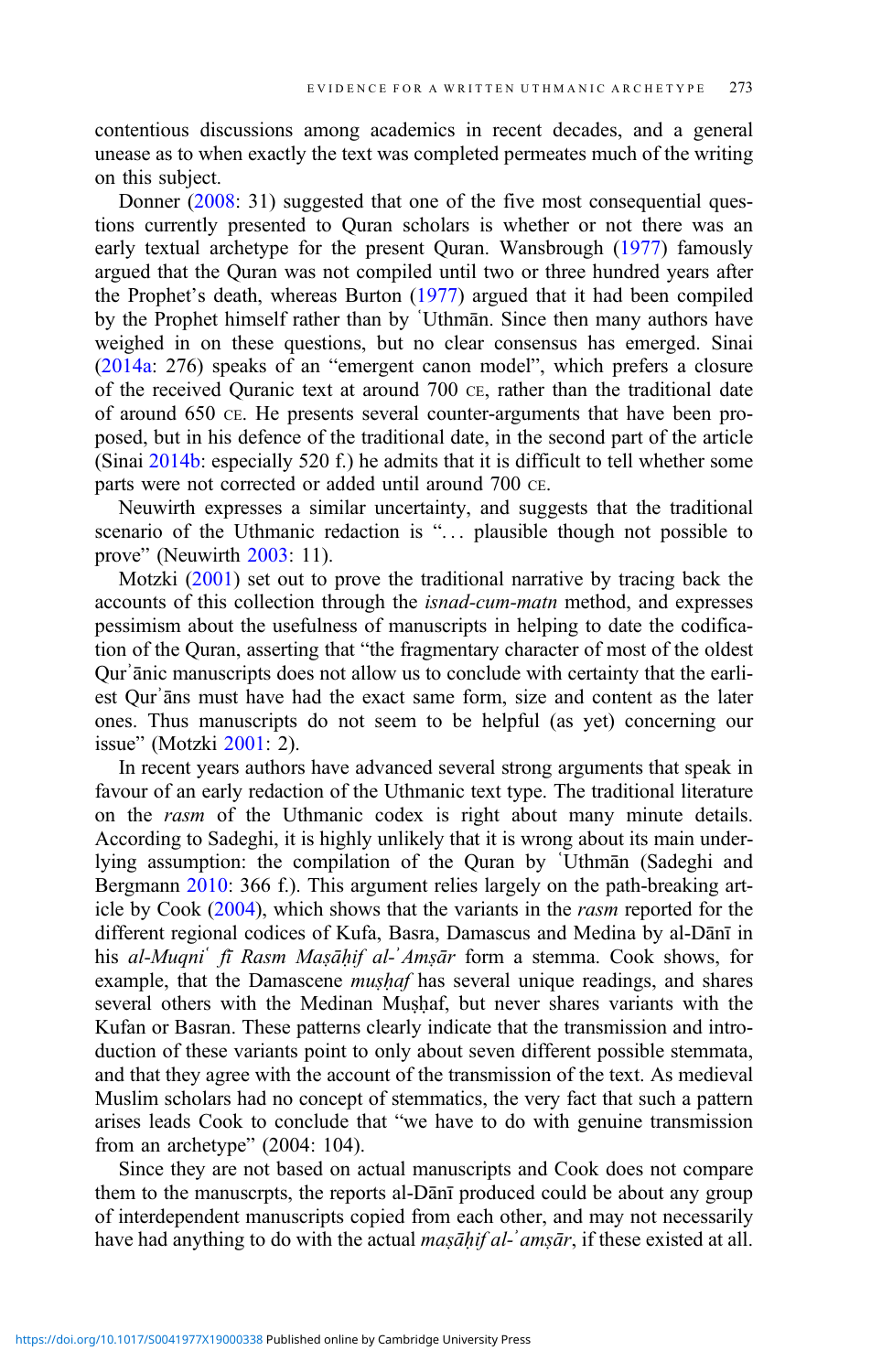contentious discussions among academics in recent decades, and a general unease as to when exactly the text was completed permeates much of the writing on this subject.

Donner ([2008:](#page-16-0) 31) suggested that one of the five most consequential questions currently presented to Quran scholars is whether or not there was an early textual archetype for the present Quran. Wansbrough ([1977\)](#page-17-0) famously argued that the Quran was not compiled until two or three hundred years after the Prophet's death, whereas Burton ([1977\)](#page-16-0) argued that it had been compiled by the Prophet himself rather than by ʿUthmān. Since then many authors have weighed in on these questions, but no clear consensus has emerged. Sinai ([2014a](#page-17-0): 276) speaks of an "emergent canon model", which prefers a closure of the received Quranic text at around 700 CE, rather than the traditional date of around 650 CE. He presents several counter-arguments that have been proposed, but in his defence of the traditional date, in the second part of the article (Sinai [2014b:](#page-17-0) especially 520 f.) he admits that it is difficult to tell whether some parts were not corrected or added until around 700 CE.

Neuwirth expresses a similar uncertainty, and suggests that the traditional scenario of the Uthmanic redaction is "... plausible though not possible to prove" (Neuwirth [2003:](#page-17-0) 11).

Motzki ([2001\)](#page-17-0) set out to prove the traditional narrative by tracing back the accounts of this collection through the isnad-cum-matn method, and expresses pessimism about the usefulness of manuscripts in helping to date the codification of the Quran, asserting that "the fragmentary character of most of the oldest Qurʾānic manuscripts does not allow us to conclude with certainty that the earliest Qurʾāns must have had the exact same form, size and content as the later ones. Thus manuscripts do not seem to be helpful (as yet) concerning our issue" (Motzki [2001:](#page-17-0) 2).

In recent years authors have advanced several strong arguments that speak in favour of an early redaction of the Uthmanic text type. The traditional literature on the *rasm* of the Uthmanic codex is right about many minute details. According to Sadeghi, it is highly unlikely that it is wrong about its main underlying assumption: the compilation of the Quran by ʿUthmān (Sadeghi and Bergmann [2010:](#page-17-0) 366 f.). This argument relies largely on the path-breaking article by Cook ([2004\)](#page-16-0), which shows that the variants in the rasm reported for the different regional codices of Kufa, Basra, Damascus and Medina by al-Dānī in his al-Muqni<sup>'</sup> fī Rasm Maṣāḥif al-'Amṣār form a stemma. Cook shows, for example, that the Damascene *muṣḥaf* has several unique readings, and shares several others with the Medinan Mushaf, but never shares variants with the Kufan or Basran. These patterns clearly indicate that the transmission and introduction of these variants point to only about seven different possible stemmata, and that they agree with the account of the transmission of the text. As medieval Muslim scholars had no concept of stemmatics, the very fact that such a pattern arises leads Cook to conclude that "we have to do with genuine transmission from an archetype" (2004: 104).

Since they are not based on actual manuscripts and Cook does not compare them to the manuscrpts, the reports al-Dānī produced could be about any group of interdependent manuscripts copied from each other, and may not necessarily have had anything to do with the actual *maṣāḥif al-*'amṣār, if these existed at all.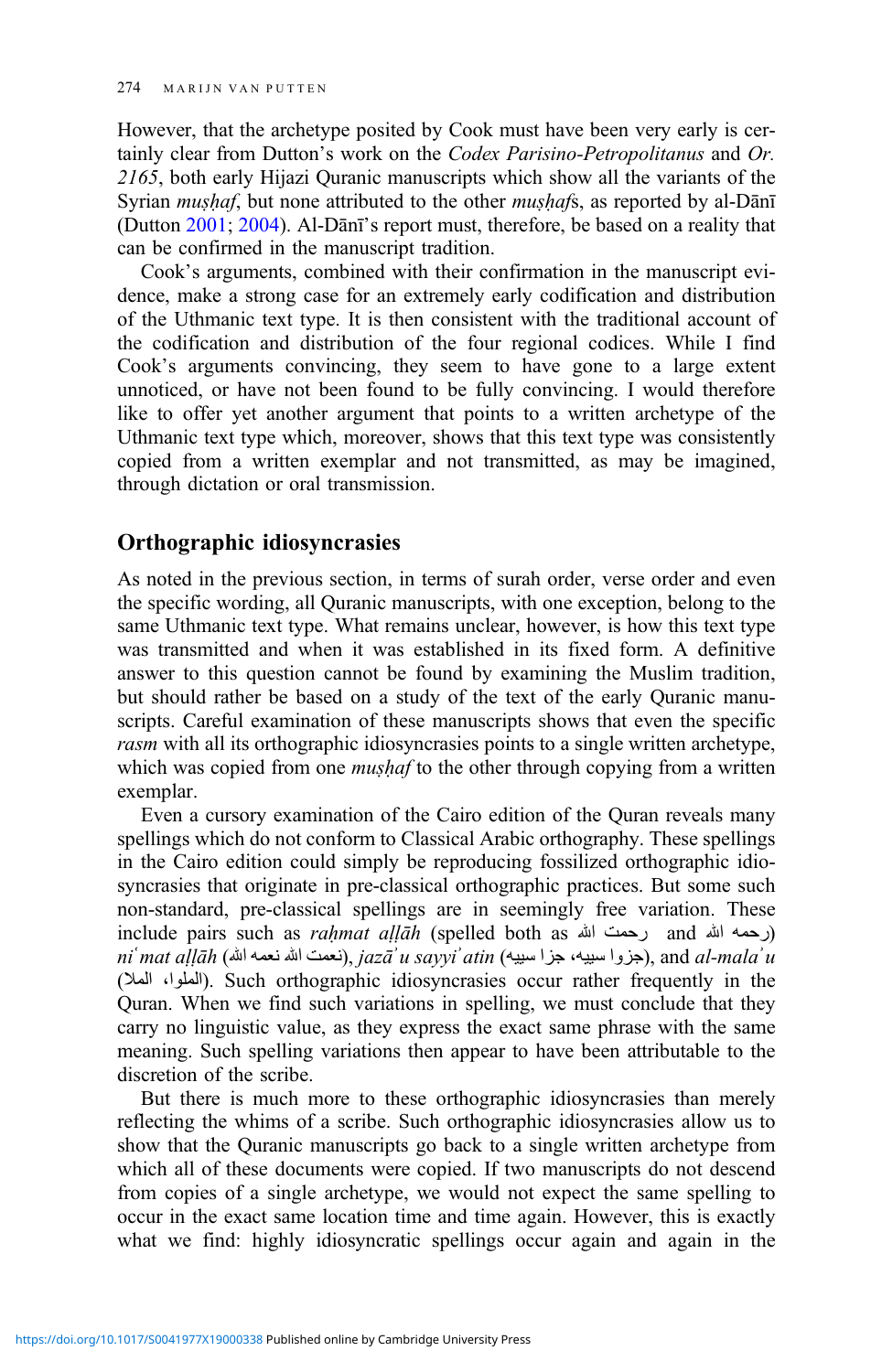However, that the archetype posited by Cook must have been very early is certainly clear from Dutton's work on the Codex Parisino-Petropolitanus and Or. 2165, both early Hijazi Quranic manuscripts which show all the variants of the Syrian *muṣḥaf*, but none attributed to the other *muṣḥaf*s, as reported by al-Dānī (Dutton [2001;](#page-16-0) [2004](#page-16-0)). Al-Dānī's report must, therefore, be based on a reality that can be confirmed in the manuscript tradition.

Cook's arguments, combined with their confirmation in the manuscript evidence, make a strong case for an extremely early codification and distribution of the Uthmanic text type. It is then consistent with the traditional account of the codification and distribution of the four regional codices. While I find Cook's arguments convincing, they seem to have gone to a large extent unnoticed, or have not been found to be fully convincing. I would therefore like to offer yet another argument that points to a written archetype of the Uthmanic text type which, moreover, shows that this text type was consistently copied from a written exemplar and not transmitted, as may be imagined, through dictation or oral transmission.

# Orthographic idiosyncrasies

As noted in the previous section, in terms of surah order, verse order and even the specific wording, all Quranic manuscripts, with one exception, belong to the same Uthmanic text type. What remains unclear, however, is how this text type was transmitted and when it was established in its fixed form. A definitive answer to this question cannot be found by examining the Muslim tradition, but should rather be based on a study of the text of the early Quranic manuscripts. Careful examination of these manuscripts shows that even the specific rasm with all its orthographic idiosyncrasies points to a single written archetype, which was copied from one *muṣḥaf* to the other through copying from a written exemplar.

Even a cursory examination of the Cairo edition of the Quran reveals many spellings which do not conform to Classical Arabic orthography. These spellings in the Cairo edition could simply be reproducing fossilized orthographic idiosyncrasies that originate in pre-classical orthographic practices. But some such non-standard, pre-classical spellings are in seemingly free variation. These include pairs such as *raḥmat aḷḷāh* (spelled both as رحمت الله and رحمت (رحمه (رحمه  $n$ iʿmat allāh (أجزوا سييه، جزا سييه), jazāʾu sayyiʾatin (جزوا سييه), and al-malaʾu (الملوا، الملا). Such orthographic idiosyncrasies occur rather frequently in the Quran. When we find such variations in spelling, we must conclude that they carry no linguistic value, as they express the exact same phrase with the same meaning. Such spelling variations then appear to have been attributable to the discretion of the scribe.

But there is much more to these orthographic idiosyncrasies than merely reflecting the whims of a scribe. Such orthographic idiosyncrasies allow us to show that the Quranic manuscripts go back to a single written archetype from which all of these documents were copied. If two manuscripts do not descend from copies of a single archetype, we would not expect the same spelling to occur in the exact same location time and time again. However, this is exactly what we find: highly idiosyncratic spellings occur again and again in the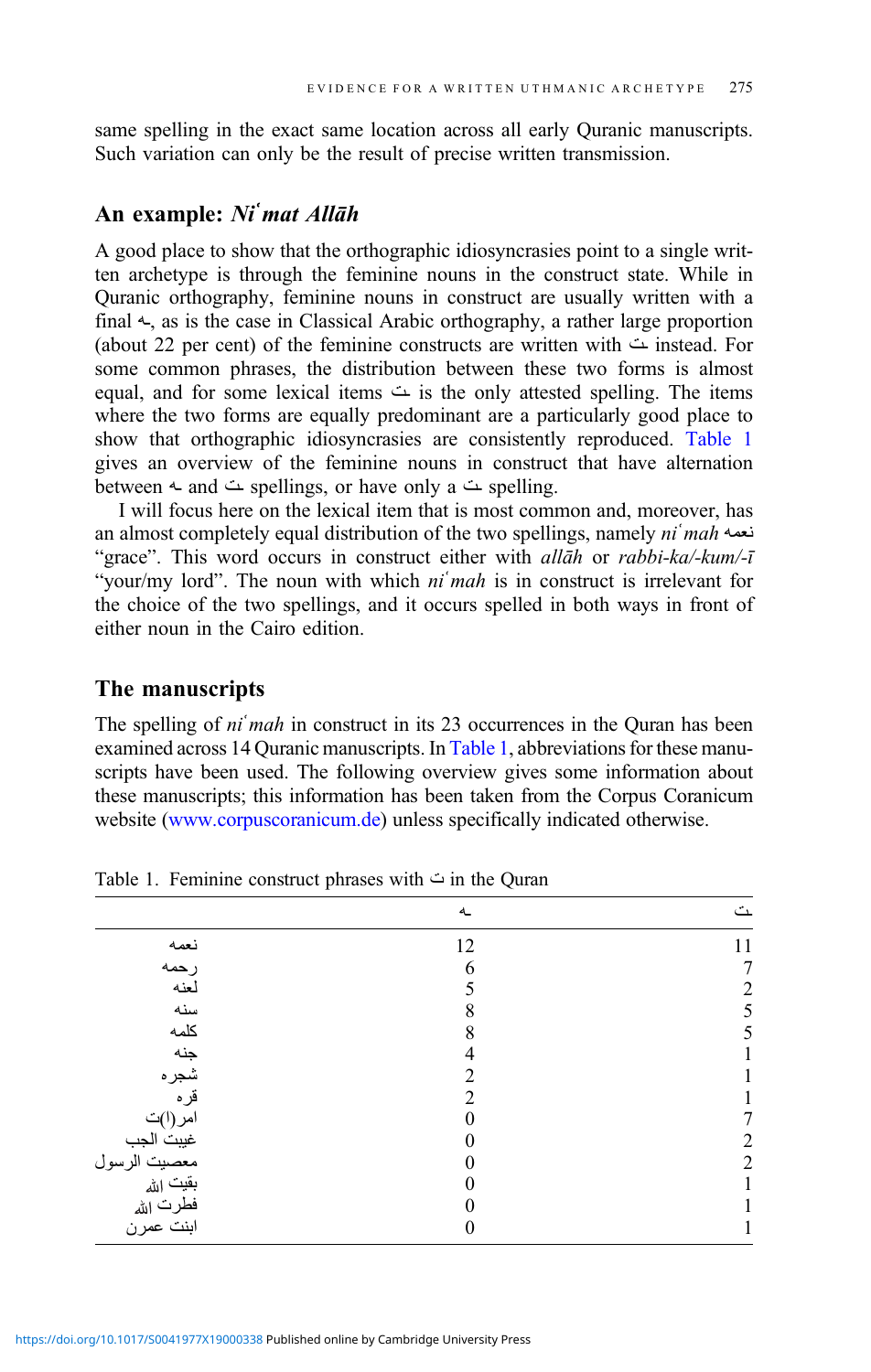same spelling in the exact same location across all early Quranic manuscripts. Such variation can only be the result of precise written transmission.

# An example: Niʿmat Allāh

A good place to show that the orthographic idiosyncrasies point to a single written archetype is through the feminine nouns in the construct state. While in Quranic orthography, feminine nouns in construct are usually written with a final  $\triangle$ , as is the case in Classical Arabic orthography, a rather large proportion (about 22 per cent) of the feminine constructs are written with ـت instead. For some common phrases, the distribution between these two forms is almost equal, and for some lexical items  $\stackrel{\sim}{\rightharpoonup}$  is the only attested spelling. The items where the two forms are equally predominant are a particularly good place to show that orthographic idiosyncrasies are consistently reproduced. Table 1 gives an overview of the feminine nouns in construct that have alternation between ـه and ـت spellings, or have only a ـت spelling.

I will focus here on the lexical item that is most common and, moreover, has an almost completely equal distribution of the two spellings, namely niʿmah نعمه "grace". This word occurs in construct either with *allah* or *rabbi-ka/-kum/-ī* "your/my lord". The noun with which *ni mah* is in construct is irrelevant for the choice of the two spellings, and it occurs spelled in both ways in front of either noun in the Cairo edition.

### The manuscripts

The spelling of *ni* mah in construct in its 23 occurrences in the Quran has been examined across 14 Quranic manuscripts. In Table 1, abbreviations for these manuscripts have been used. The following overview gives some information about these manuscripts; this information has been taken from the Corpus Coranicum website ([www.corpuscoranicum.de](http://www.corpuscoranicum.de)) unless specifically indicated otherwise.

|              | $\overline{A}$ | ٹ              |
|--------------|----------------|----------------|
| نعمه         | 12             | 11             |
| رحمه         | 6              | 7              |
| لعنه         |                | $\mathfrak{D}$ |
| سنه          | 8              |                |
| كلمه         | 8              |                |
| جنه          |                |                |
| شجره         | $\mathfrak{D}$ |                |
| قره          | $\mathfrak{D}$ |                |
| امر(ا)ت      |                |                |
| غيبت الجب    |                |                |
| معصيت الرسول |                |                |
| بقيت الله    |                |                |
| فطرت الله    |                |                |
| ابنت عمرن    |                |                |

Table 1. Feminine construct phrases with ت in the Quran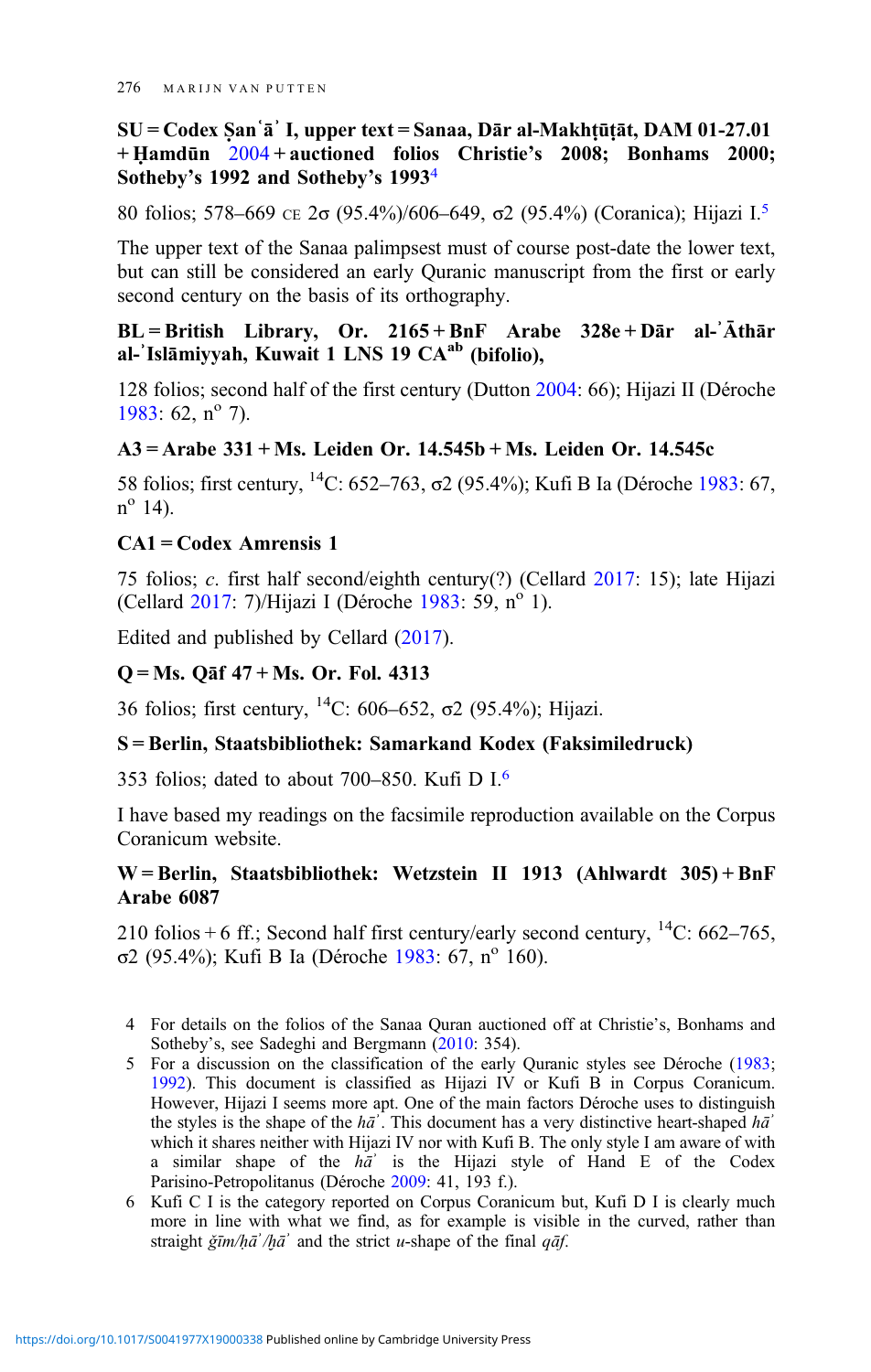### $SU = \text{Coder San } a$ ' I, upper text = Sanaa, Dār al-Makhṭūṭāt, DAM 01-27.01 + Ḥamdūn [2004](#page-17-0) + auctioned folios Christie's 2008; Bonhams 2000; Sotheby's 1992 and Sotheby's 1993<sup>4</sup>

80 folios; 578–669 CE 2σ (95.4%)/606–649, σ2 (95.4%) (Coranica); Hijazi I.5

The upper text of the Sanaa palimpsest must of course post-date the lower text, but can still be considered an early Quranic manuscript from the first or early second century on the basis of its orthography.

# $BL = British$  Library, Or.  $2165 + BnF$  Arabe  $328e + D\bar{a}r$  al- $\bar{A}$ th $\bar{a}r$ al-'Islāmiyyah, Kuwait 1 LNS 19 CA<sup>ab</sup> (bifolio),

128 folios; second half of the first century (Dutton [2004](#page-16-0): 66); Hijazi II (Déroche  $1983: 62. n^{\circ}$  $1983: 62. n^{\circ}$  7).

#### A3 = Arabe 331 + Ms. Leiden Or. 14.545b + Ms. Leiden Or. 14.545c

58 folios; first century, <sup>14</sup>C: 652–763, σ2 (95.4%); Kufi B Ia (Déroche [1983](#page-16-0): 67,  $n^{o}$  14).

#### CA1 = Codex Amrensis 1

75 folios; c. first half second/eighth century(?) (Cellard [2017:](#page-16-0) 15); late Hijazi (Cellard [2017:](#page-16-0) 7)/Hijazi I (Déroche [1983:](#page-16-0) 59, n<sup>o</sup> 1).

Edited and published by Cellard ([2017\)](#page-16-0).

#### Q = Ms. Qāf 47 + Ms. Or. Fol. 4313

36 folios; first century,  $^{14}$ C: 606–652, σ2 (95.4%); Hijazi.

#### S = Berlin, Staatsbibliothek: Samarkand Kodex (Faksimiledruck)

353 folios; dated to about 700–850. Kufi D I.<sup>6</sup>

I have based my readings on the facsimile reproduction available on the Corpus Coranicum website.

#### W = Berlin, Staatsbibliothek: Wetzstein II 1913 (Ahlwardt 305) + BnF Arabe 6087

210 folios + 6 ff.; Second half first century/early second century,  $^{14}$ C: 662–765, σ2 (95.4%); Kufi B Ia (Déroche [1983](#page-16-0): 67, n<sup>o</sup> 160).

- 4 For details on the folios of the Sanaa Quran auctioned off at Christie's, Bonhams and Sotheby's, see Sadeghi and Bergmann ([2010:](#page-17-0) 354).
- 5 For a discussion on the classification of the early Quranic styles see Déroche ([1983;](#page-16-0) [1992\)](#page-16-0). This document is classified as Hijazi IV or Kufi B in Corpus Coranicum. However, Hijazi I seems more apt. One of the main factors Déroche uses to distinguish the styles is the shape of the  $h\bar{a}'$ . This document has a very distinctive heart-shaped  $h\bar{a}'$ which it shares neither with Hijazi IV nor with Kufi B. The only style I am aware of with a similar shape of the  $h\bar{a}'$  is the Hijazi style of Hand E of the Codex Parisino-Petropolitanus (Déroche [2009:](#page-16-0) 41, 193 f.).
- 6 Kufi C I is the category reported on Corpus Coranicum but, Kufi D I is clearly much more in line with what we find, as for example is visible in the curved, rather than straight  $\frac{\dot{q}}{\dot{q}}$  /h $\frac{\dot{q}}{\dot{q}}$  and the strict *u*-shape of the final *q* $\frac{\dot{q}}{\dot{q}}$ .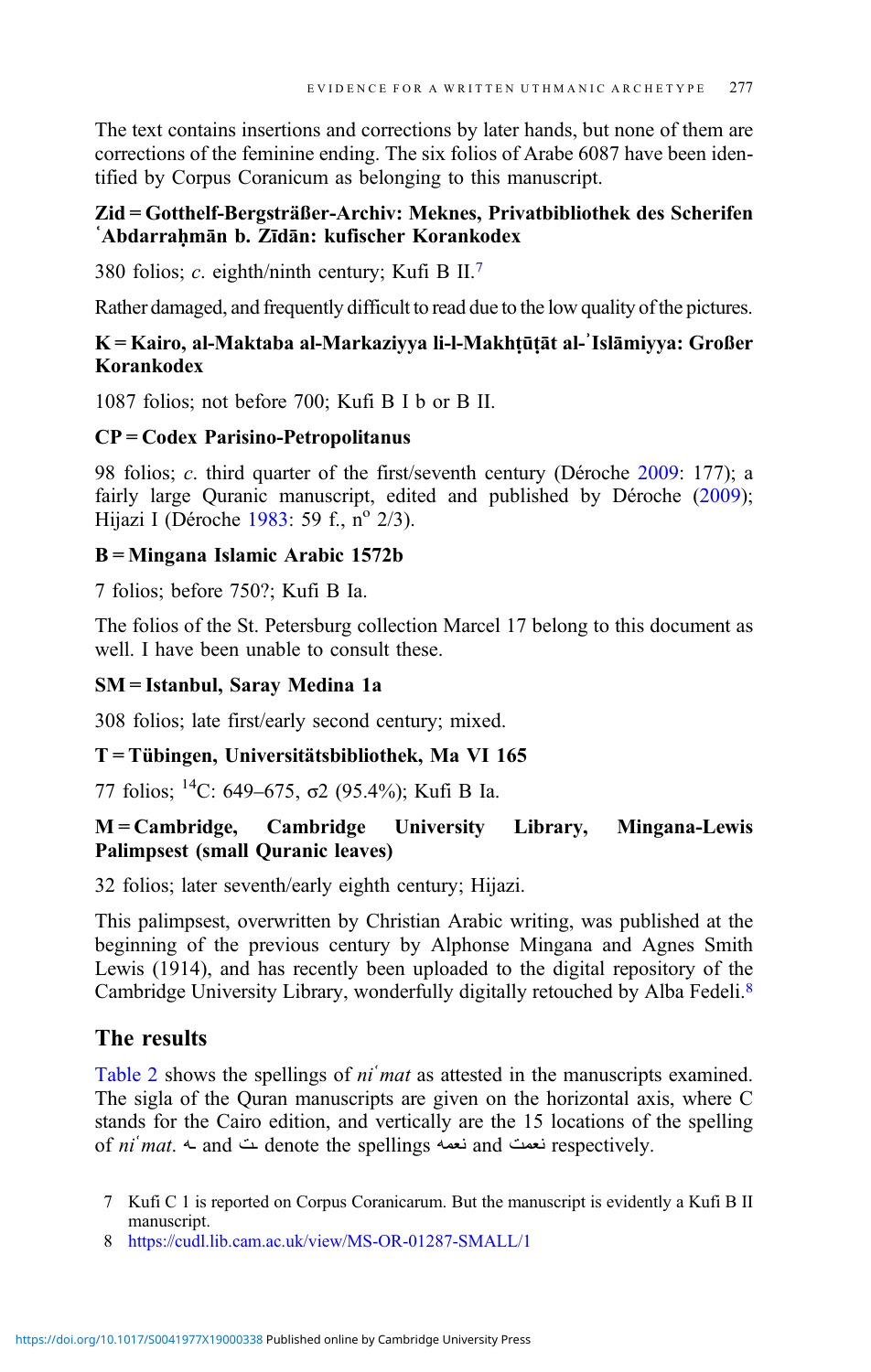The text contains insertions and corrections by later hands, but none of them are corrections of the feminine ending. The six folios of Arabe 6087 have been identified by Corpus Coranicum as belonging to this manuscript.

### Zid = Gotthelf-Bergsträßer-Archiv: Meknes, Privatbibliothek des Scherifen ʿAbdarraḥmān b. Zīdān: kufischer Korankodex

380 folios; c. eighth/ninth century; Kufi B II.7

Rather damaged, and frequently difficult to read due to the low quality of the pictures.

## K = Kairo, al-Maktaba al-Markaziyya li-l-Makhṭūṭāt al-ʾIslāmiyya: Großer Korankodex

1087 folios; not before 700; Kufi B I b or B II.

### CP = Codex Parisino-Petropolitanus

98 folios; c. third quarter of the first/seventh century (Déroche [2009](#page-16-0): 177); a fairly large Quranic manuscript, edited and published by Déroche [\(2009](#page-16-0)); Hijazi I (Déroche [1983:](#page-16-0) 59 f., nº 2/3).

#### B = Mingana Islamic Arabic 1572b

7 folios; before 750?; Kufi B Ia.

The folios of the St. Petersburg collection Marcel 17 belong to this document as well. I have been unable to consult these.

#### SM = Istanbul, Saray Medina 1a

308 folios; late first/early second century; mixed.

#### T = Tübingen, Universitätsbibliothek, Ma VI 165

77 folios;  $^{14}$ C: 649–675, σ2 (95.4%); Kufi B Ia.

## M = Cambridge, Cambridge University Library, Mingana-Lewis Palimpsest (small Quranic leaves)

32 folios; later seventh/early eighth century; Hijazi.

This palimpsest, overwritten by Christian Arabic writing, was published at the beginning of the previous century by Alphonse Mingana and Agnes Smith Lewis (1914), and has recently been uploaded to the digital repository of the Cambridge University Library, wonderfully digitally retouched by Alba Fedeli.8

# The results

[Table 2](#page-7-0) shows the spellings of *ni* mat as attested in the manuscripts examined. The sigla of the Quran manuscripts are given on the horizontal axis, where C stands for the Cairo edition, and vertically are the 15 locations of the spelling of ni'mat.  $\triangle$  and  $\triangle$  denote the spellings is independently.

<sup>7</sup> Kufi C 1 is reported on Corpus Coranicarum. But the manuscript is evidently a Kufi B II manuscript.

<sup>8</sup> <https://cudl.lib.cam.ac.uk/view/MS-OR-01287-SMALL/1>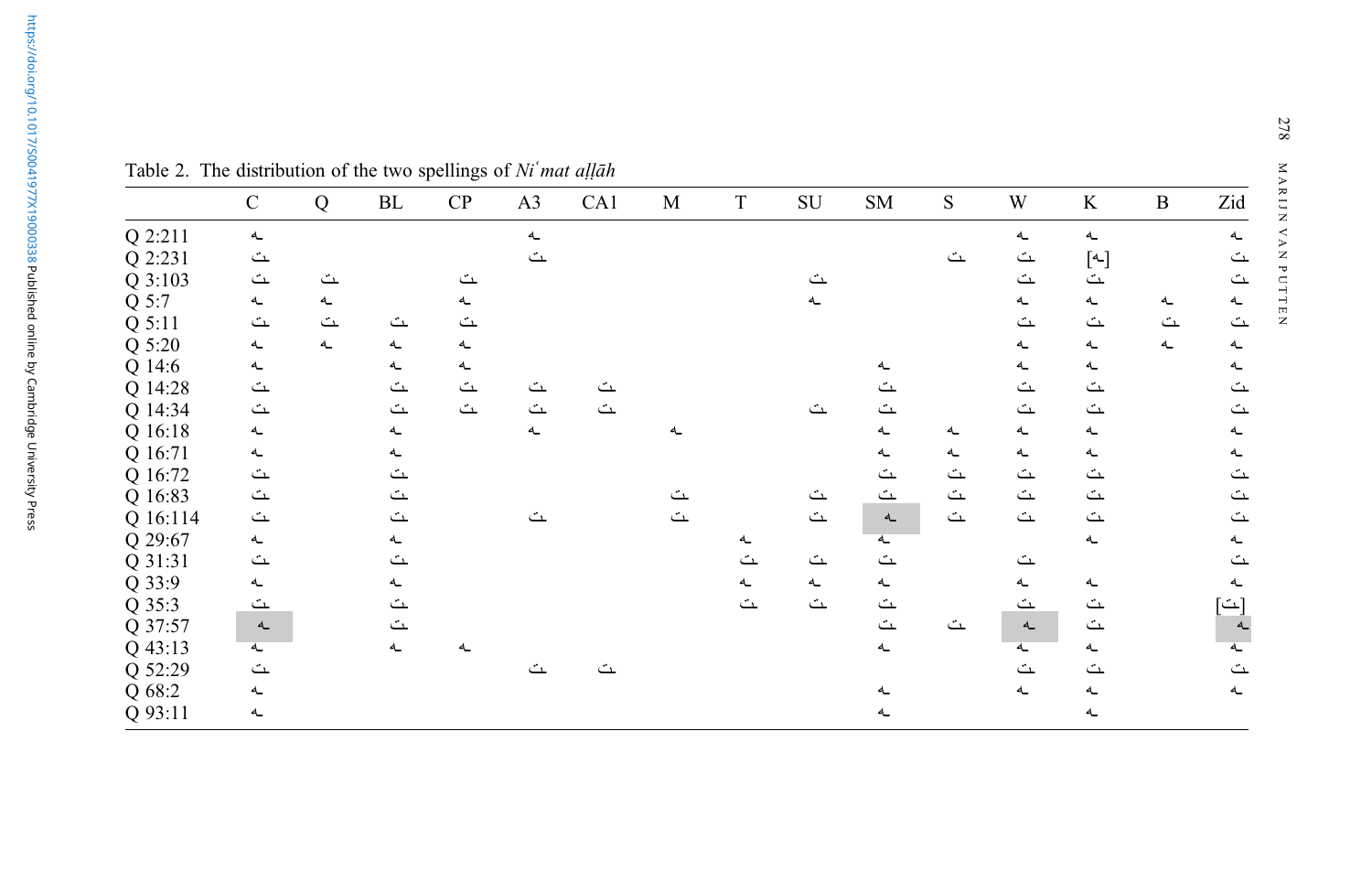|          | $\mathcal{C}$  | Q      | BL          | CP | A3 | CA1 | M | $\mathbf T$ | ${\rm SU}$  | ${\rm SM}$ | ${\bf S}$   | W           | $\rm K$                | $\, {\bf B}$ | Zid            |
|----------|----------------|--------|-------------|----|----|-----|---|-------------|-------------|------------|-------------|-------------|------------------------|--------------|----------------|
| Q 2:211  | $\sim$         |        |             |    | 4  |     |   |             |             |            |             | ላ.          | $\sim$                 |              | ላ_             |
| Q 2:231  | ت              |        |             |    | ت  |     |   |             |             |            | ے           | ت           | $[\mathord{\uparrow}]$ |              | ے              |
| Q 3:103  | $\Delta$       | ث      |             | ے  |    |     |   |             |             |            |             | ے           | ے                      |              | ث              |
| Q 5:7    | ፈ              | $\sim$ |             | ላ  |    |     |   |             | $\sim$      |            |             | ↵           | $\sim$                 | $\sim$       | 4.             |
| $Q$ 5:11 | $\triangle$    | ث      | $\triangle$ | ٹ  |    |     |   |             |             |            |             | ے           | $\Delta$               | $\Delta$     | ٹ              |
| Q 5:20   | $\sim$         | $\sim$ | ፈ           | ላ. |    |     |   |             |             |            |             | $\sim$      | $\sim$                 | $\sim$       | ፈ              |
| Q 14:6   | $\sim$         |        | ፈ           | ላ  |    |     |   |             |             |            |             | ፈ           | ↵                      |              | ↵              |
| Q 14:28  | ت              |        | $\Delta$    | ے  | ے  | ٽ   |   |             |             | ے          |             | ے           | ث                      |              | ے              |
| Q 14:34  | ت              |        | ے           | ے  | ے  | ے   |   |             | ٽ           | ے          |             | ے           | $\Delta$               |              | ے              |
| Q 16:18  | $\sim$         |        | 4_          |    | ፈ  |     |   |             |             | ↵          | ፈ           | $\sim$      | $\sim$                 |              | ٩.             |
| Q 16:71  | $\sim$         |        | ↵           |    |    |     |   |             |             | ↵          | ↵           | ↵           | 4.                     |              | 4.             |
| Q 16:72  | ت              |        | ت           |    |    |     |   |             |             | ے          | $\Delta$    | $\Delta$    | ث                      |              | $\circ$        |
| Q 16:83  | $\Delta$       |        | ت           |    |    |     | ٽ |             | ے           | ت          | $\triangle$ | ے           | ت                      |              | ت              |
| Q 16:114 | ت              |        | ے           |    | ت  |     | ے |             | $\triangle$ |            | ے           | ے           | $\Delta$               |              | $\circ$        |
| Q 29:67  | ፈ              |        | $\sim$      |    |    |     |   | ↵           |             | A.         |             |             | $\sim$                 |              | ↵              |
| Q 31:31  | ت              |        | ت           |    |    |     |   | ت           | ے           | ے          |             | $\triangle$ |                        |              | ے              |
| Q 33:9   | $\sim$         |        | $\sim$      |    |    |     |   | $\sim$      | $\sim$      | ፈ          |             | $\sim$      | A_                     |              | ፈ              |
| Q 35:3   | ث              |        | ت           |    |    |     |   | ے           | ے           | ث          |             | ے           | ث                      |              | $[\Delta]$     |
| Q 37:57  | $\sim$         |        | $\Delta$    |    |    |     |   |             |             | ے          | ے           | $\sim$      | $\Delta$               |              |                |
| Q 43:13  | $\overline{A}$ |        | 4           |    |    |     |   |             |             | ፈ          |             | A_          | $\sim$                 |              | $\overline{A}$ |
| Q 52:29  | $\triangle$    |        |             |    | ے  | ٽ   |   |             |             |            |             | ث           | ے                      |              | ث              |
| Q 68:2   | $\sim$         |        |             |    |    |     |   |             |             |            |             | ላ_          |                        |              | ፈ              |
| Q 93:11  | 4.             |        |             |    |    |     |   |             |             |            |             |             |                        |              |                |

<span id="page-7-0"></span>Table 2. The distribution of the two spellings of  $Ni'$  mat allah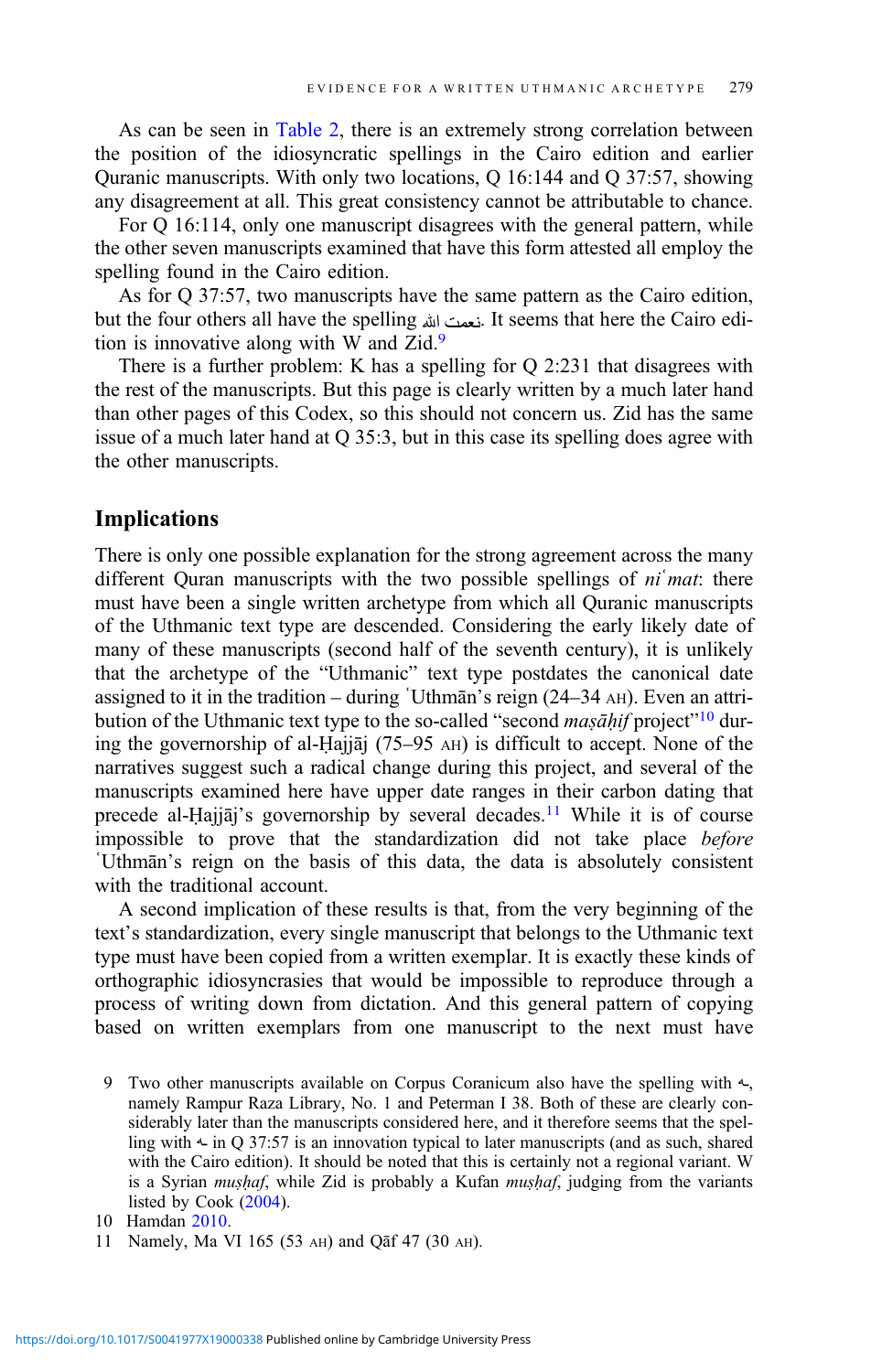As can be seen in [Table 2](#page-7-0), there is an extremely strong correlation between the position of the idiosyncratic spellings in the Cairo edition and earlier Quranic manuscripts. With only two locations, Q 16:144 and Q 37:57, showing any disagreement at all. This great consistency cannot be attributable to chance.

For Q 16:114, only one manuscript disagrees with the general pattern, while the other seven manuscripts examined that have this form attested all employ the spelling found in the Cairo edition.

As for Q 37:57, two manuscripts have the same pattern as the Cairo edition, but the four others all have the spelling نعمت. It seems that here the Cairo edition is innovative along with W and Zid.9

There is a further problem: K has a spelling for Q 2:231 that disagrees with the rest of the manuscripts. But this page is clearly written by a much later hand than other pages of this Codex, so this should not concern us. Zid has the same issue of a much later hand at Q 35:3, but in this case its spelling does agree with the other manuscripts.

#### Implications

There is only one possible explanation for the strong agreement across the many different Quran manuscripts with the two possible spellings of *ni'mat*: there must have been a single written archetype from which all Quranic manuscripts of the Uthmanic text type are descended. Considering the early likely date of many of these manuscripts (second half of the seventh century), it is unlikely that the archetype of the "Uthmanic" text type postdates the canonical date assigned to it in the tradition – during ʿUthmān's reign (24–34 AH). Even an attribution of the Uthmanic text type to the so-called "second *maṣāḥif* project"<sup>10</sup> during the governorship of al-Ḥajjāj (75–95 AH) is difficult to accept. None of the narratives suggest such a radical change during this project, and several of the manuscripts examined here have upper date ranges in their carbon dating that precede al-Ḥajjāj's governorship by several decades.<sup>11</sup> While it is of course impossible to prove that the standardization did not take place before ʿUthmān's reign on the basis of this data, the data is absolutely consistent with the traditional account.

A second implication of these results is that, from the very beginning of the text's standardization, every single manuscript that belongs to the Uthmanic text type must have been copied from a written exemplar. It is exactly these kinds of orthographic idiosyncrasies that would be impossible to reproduce through a process of writing down from dictation. And this general pattern of copying based on written exemplars from one manuscript to the next must have

<sup>9</sup> Two other manuscripts available on Corpus Coranicum also have the spelling with  $\leftarrow$ , namely Rampur Raza Library, No. 1 and Peterman I 38. Both of these are clearly considerably later than the manuscripts considered here, and it therefore seems that the spelling with  $\sim$  in Q 37:57 is an innovation typical to later manuscripts (and as such, shared with the Cairo edition). It should be noted that this is certainly not a regional variant. W is a Syrian *muṣḥaf*, while Zid is probably a Kufan *muṣḥaf*, judging from the variants listed by Cook ([2004\)](#page-16-0).

<sup>10</sup> Hamdan [2010](#page-16-0).

<sup>11</sup> Namely, Ma VI 165 (53 AH) and Qāf 47 (30 AH).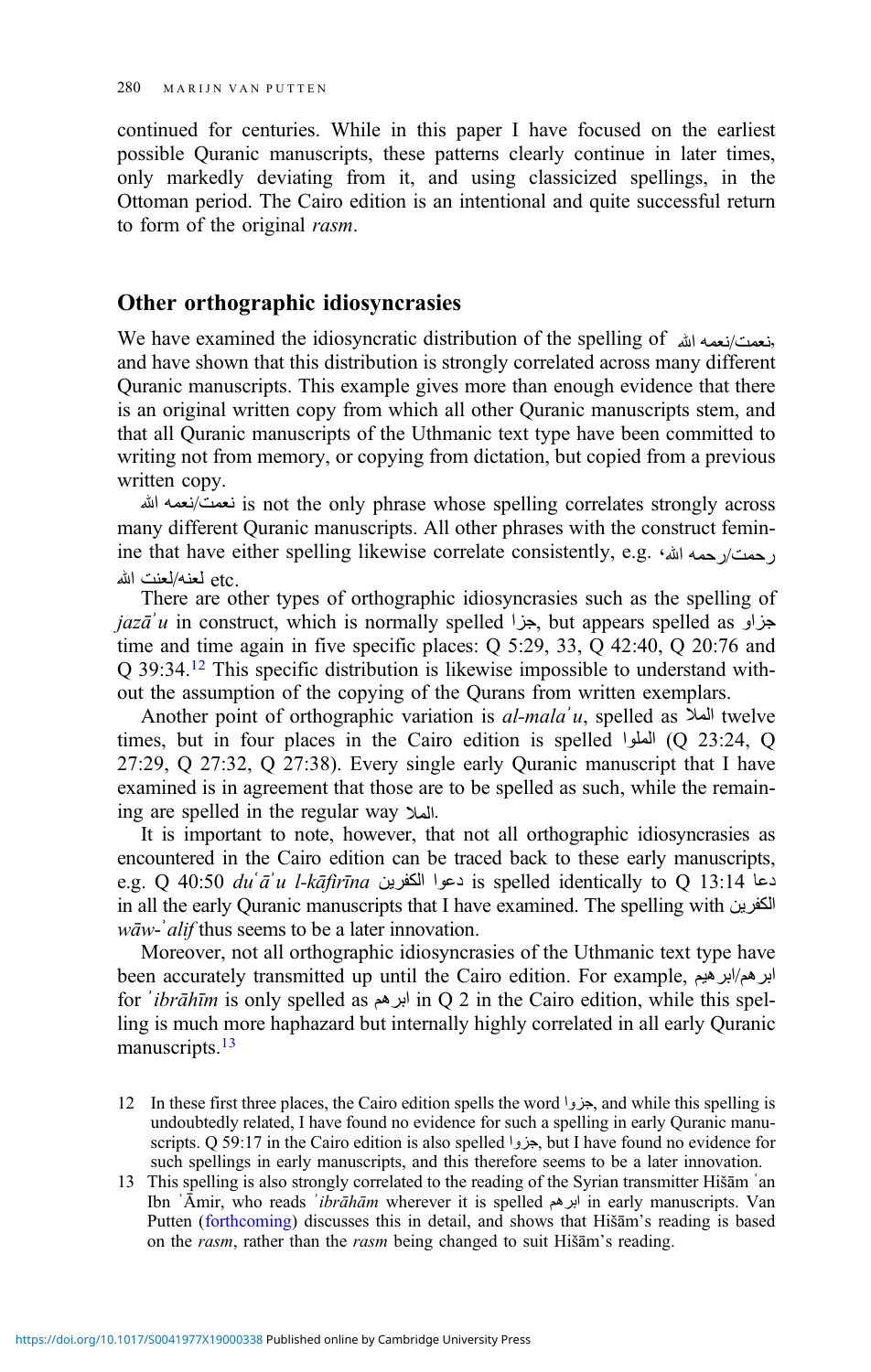continued for centuries. While in this paper I have focused on the earliest possible Quranic manuscripts, these patterns clearly continue in later times, only markedly deviating from it, and using classicized spellings, in the Ottoman period. The Cairo edition is an intentional and quite successful return to form of the original rasm.

#### Other orthographic idiosyncrasies

We have examined the idiosyncratic distribution of the spelling of in its idiosyncratic distribution of the spelling of and have shown that this distribution is strongly correlated across many different Quranic manuscripts. This example gives more than enough evidence that there is an original written copy from which all other Quranic manuscripts stem, and that all Quranic manuscripts of the Uthmanic text type have been committed to writing not from memory, or copying from dictation, but copied from a previous written copy.

نعمه/نعمت is not the only phrase whose spelling correlates strongly across many different Quranic manuscripts. All other phrases with the construct feminine that have either spelling likewise correlate consistently, e.g. (حمد الله ) .etc لعنه/لعنت الله

There are other types of orthographic idiosyncrasies such as the spelling of  $jaz\vec{a}$ 'u in construct, which is normally spelled جزاوت, but appears spelled as time and time again in five specific places: Q 5:29, 33, Q 42:40, Q 20:76 and Q 39:34.12 This specific distribution is likewise impossible to understand without the assumption of the copying of the Qurans from written exemplars.

Another point of orthographic variation is  $al$ -mala'u, spelled as الملا twelve times, but in four places in the Cairo edition is spelled الملوا) Q 23:24, Q 27:29, Q 27:32, Q 27:38). Every single early Quranic manuscript that I have examined is in agreement that those are to be spelled as such, while the remaining are spelled in the regular way الملا.

It is important to note, however, that not all orthographic idiosyncrasies as encountered in the Cairo edition can be traced back to these early manuscripts, e.g. Q 40:50 duʿāʾu l-kāfirīna الكفرين دعوا is spelled identically to Q 13:14 دعا in all the early Quranic manuscripts that I have examined. The spelling with الكفرين wāw-'alif thus seems to be a later innovation.

Moreover, not all orthographic idiosyncrasies of the Uthmanic text type have been accurately transmitted up until the Cairo edition. For example, ابرهيم/ابرهم for ʾibrāhīm is only spelled as ابرهم in Q 2 in the Cairo edition, while this spelling is much more haphazard but internally highly correlated in all early Quranic manuscripts.<sup>13</sup>

- 12 In these first three places, the Cairo edition spells the word جزوا, and while this spelling is undoubtedly related, I have found no evidence for such a spelling in early Quranic manuscripts. Q 59:17 in the Cairo edition is also spelled جزوا, but I have found no evidence for such spellings in early manuscripts, and this therefore seems to be a later innovation.
- 13 This spelling is also strongly correlated to the reading of the Syrian transmitter Hišām ʿan Ibn ʿĀmir, who reads ʾibrāhām wherever it is spelled ابرهم in early manuscripts. Van Putten ([forthcoming](#page-17-0)) discusses this in detail, and shows that Hišām's reading is based on the rasm, rather than the rasm being changed to suit Hišām's reading.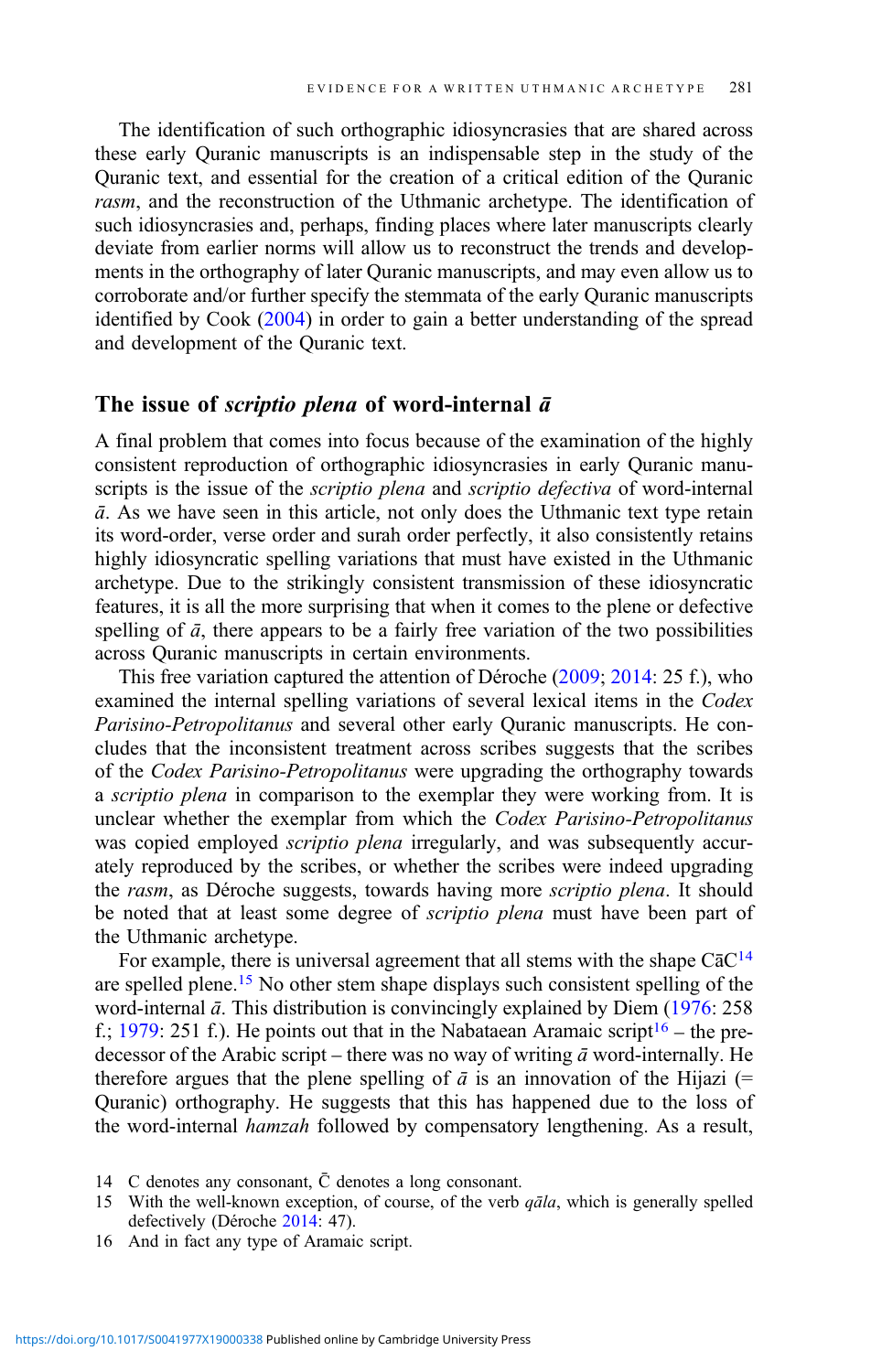The identification of such orthographic idiosyncrasies that are shared across these early Quranic manuscripts is an indispensable step in the study of the Quranic text, and essential for the creation of a critical edition of the Quranic rasm, and the reconstruction of the Uthmanic archetype. The identification of such idiosyncrasies and, perhaps, finding places where later manuscripts clearly deviate from earlier norms will allow us to reconstruct the trends and developments in the orthography of later Quranic manuscripts, and may even allow us to corroborate and/or further specify the stemmata of the early Quranic manuscripts identified by Cook [\(2004](#page-16-0)) in order to gain a better understanding of the spread and development of the Quranic text.

#### The issue of *scriptio plena* of word-internal  $\bar{a}$

A final problem that comes into focus because of the examination of the highly consistent reproduction of orthographic idiosyncrasies in early Quranic manuscripts is the issue of the scriptio plena and scriptio defectiva of word-internal  $\bar{a}$ . As we have seen in this article, not only does the Uthmanic text type retain its word-order, verse order and surah order perfectly, it also consistently retains highly idiosyncratic spelling variations that must have existed in the Uthmanic archetype. Due to the strikingly consistent transmission of these idiosyncratic features, it is all the more surprising that when it comes to the plene or defective spelling of  $\bar{a}$ , there appears to be a fairly free variation of the two possibilities across Quranic manuscripts in certain environments.

This free variation captured the attention of Déroche ([2009;](#page-16-0) [2014](#page-16-0): 25 f.), who examined the internal spelling variations of several lexical items in the Codex Parisino-Petropolitanus and several other early Quranic manuscripts. He concludes that the inconsistent treatment across scribes suggests that the scribes of the Codex Parisino-Petropolitanus were upgrading the orthography towards a scriptio plena in comparison to the exemplar they were working from. It is unclear whether the exemplar from which the Codex Parisino-Petropolitanus was copied employed scriptio plena irregularly, and was subsequently accurately reproduced by the scribes, or whether the scribes were indeed upgrading the rasm, as Déroche suggests, towards having more scriptio plena. It should be noted that at least some degree of scriptio plena must have been part of the Uthmanic archetype.

For example, there is universal agreement that all stems with the shape  $CaC<sup>14</sup>$ are spelled plene.15 No other stem shape displays such consistent spelling of the word-internal ā. This distribution is convincingly explained by Diem ([1976](#page-16-0): 258 f.; [1979:](#page-16-0) 251 f.). He points out that in the Nabataean Aramaic script<sup>16</sup> – the predecessor of the Arabic script – there was no way of writing  $\bar{a}$  word-internally. He therefore argues that the plene spelling of  $\bar{a}$  is an innovation of the Hijazi (= Quranic) orthography. He suggests that this has happened due to the loss of the word-internal hamzah followed by compensatory lengthening. As a result,

- 14 C denotes any consonant, C̄ denotes a long consonant.
- 15 With the well-known exception, of course, of the verb qāla, which is generally spelled defectively (Déroche [2014](#page-16-0): 47).
- 16 And in fact any type of Aramaic script.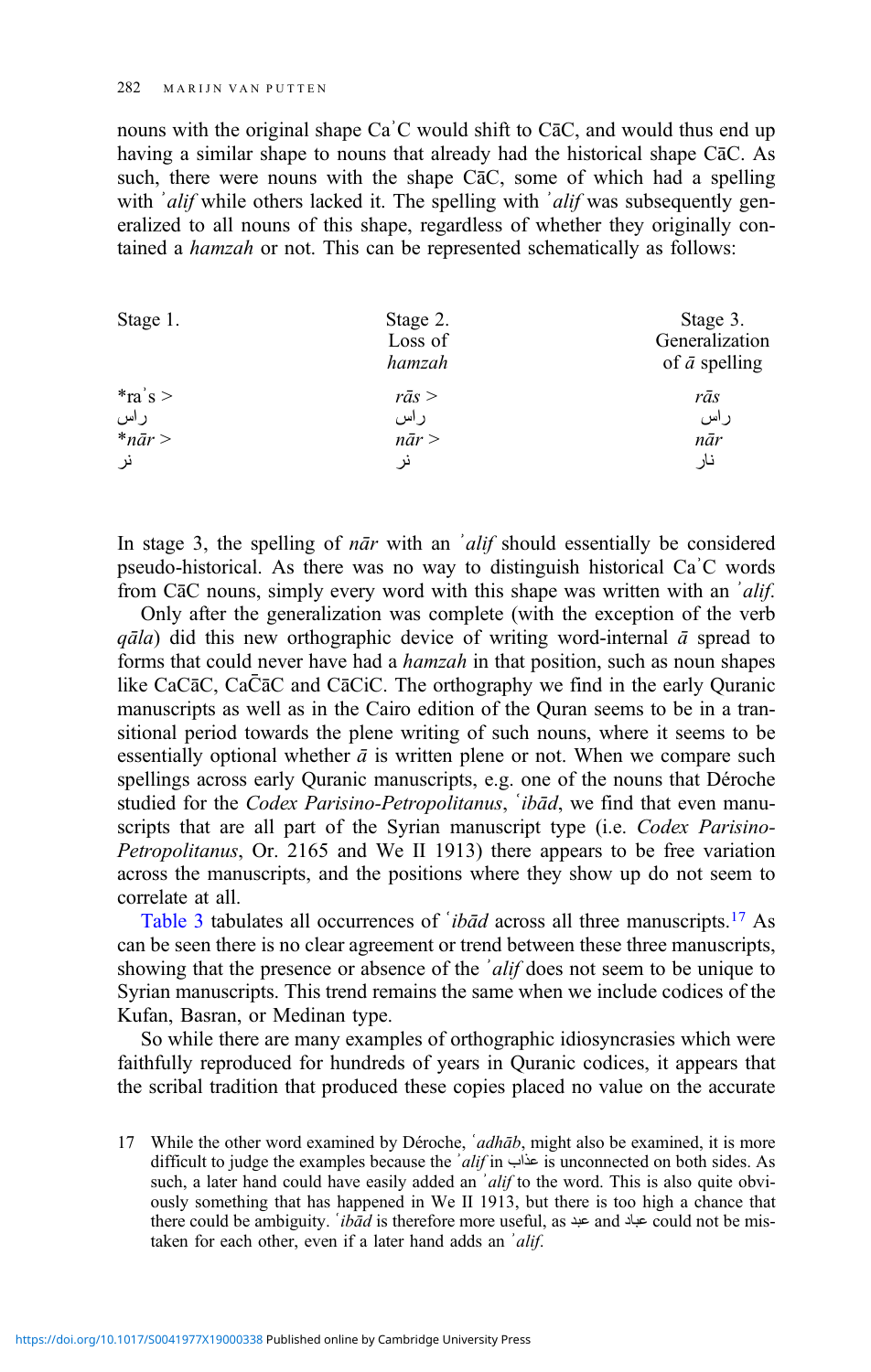nouns with the original shape CaʾC would shift to CāC, and would thus end up having a similar shape to nouns that already had the historical shape CāC. As such, there were nouns with the shape CāC, some of which had a spelling with *'alif* while others lacked it. The spelling with *'alif* was subsequently generalized to all nouns of this shape, regardless of whether they originally contained a hamzah or not. This can be represented schematically as follows:

| Stage 1.        | Stage 2.    | Stage 3.              |
|-----------------|-------------|-----------------------|
|                 | Loss of     | Generalization        |
|                 | hamzah      | of $\bar{a}$ spelling |
| $*_{ra}$ 's >   | $r\bar{a}s$ | rās                   |
| راس             | ر اس        | راس                   |
| $*_{n\bar{a}r}$ | $n\bar{a}r$ | nār                   |
| نر              | نر          | نار                   |

In stage 3, the spelling of  $n\bar{a}r$  with an  $\partial$  alif should essentially be considered pseudo-historical. As there was no way to distinguish historical CaʾC words from CāC nouns, simply every word with this shape was written with an ʾalif.

Only after the generalization was complete (with the exception of the verb  $q\bar{a}la$ ) did this new orthographic device of writing word-internal  $\bar{a}$  spread to forms that could never have had a hamzah in that position, such as noun shapes like CaCāC, CaC̄āC and CāCiC. The orthography we find in the early Quranic manuscripts as well as in the Cairo edition of the Quran seems to be in a transitional period towards the plene writing of such nouns, where it seems to be essentially optional whether  $\bar{a}$  is written plene or not. When we compare such spellings across early Quranic manuscripts, e.g. one of the nouns that Déroche studied for the Codex Parisino-Petropolitanus, 'ibād, we find that even manuscripts that are all part of the Syrian manuscript type (i.e. Codex Parisino-Petropolitanus, Or. 2165 and We II 1913) there appears to be free variation across the manuscripts, and the positions where they show up do not seem to correlate at all.

[Table 3](#page-12-0) tabulates all occurrences of *ibād* across all three manuscripts.<sup>17</sup> As can be seen there is no clear agreement or trend between these three manuscripts, showing that the presence or absence of the *'alif* does not seem to be unique to Syrian manuscripts. This trend remains the same when we include codices of the Kufan, Basran, or Medinan type.

So while there are many examples of orthographic idiosyncrasies which were faithfully reproduced for hundreds of years in Quranic codices, it appears that the scribal tradition that produced these copies placed no value on the accurate

17 While the other word examined by Déroche, 'adhāb, might also be examined, it is more difficult to judge the examples because the ʾalif in عذاب is unconnected on both sides. As such, a later hand could have easily added an  $\hat{i}$  alif to the word. This is also quite obviously something that has happened in We II 1913, but there is too high a chance that there could be ambiguity. *`ibād* is therefore more useful, as  $\cong$  and  $\cong$  could not be mistaken for each other, even if a later hand adds an 'alif.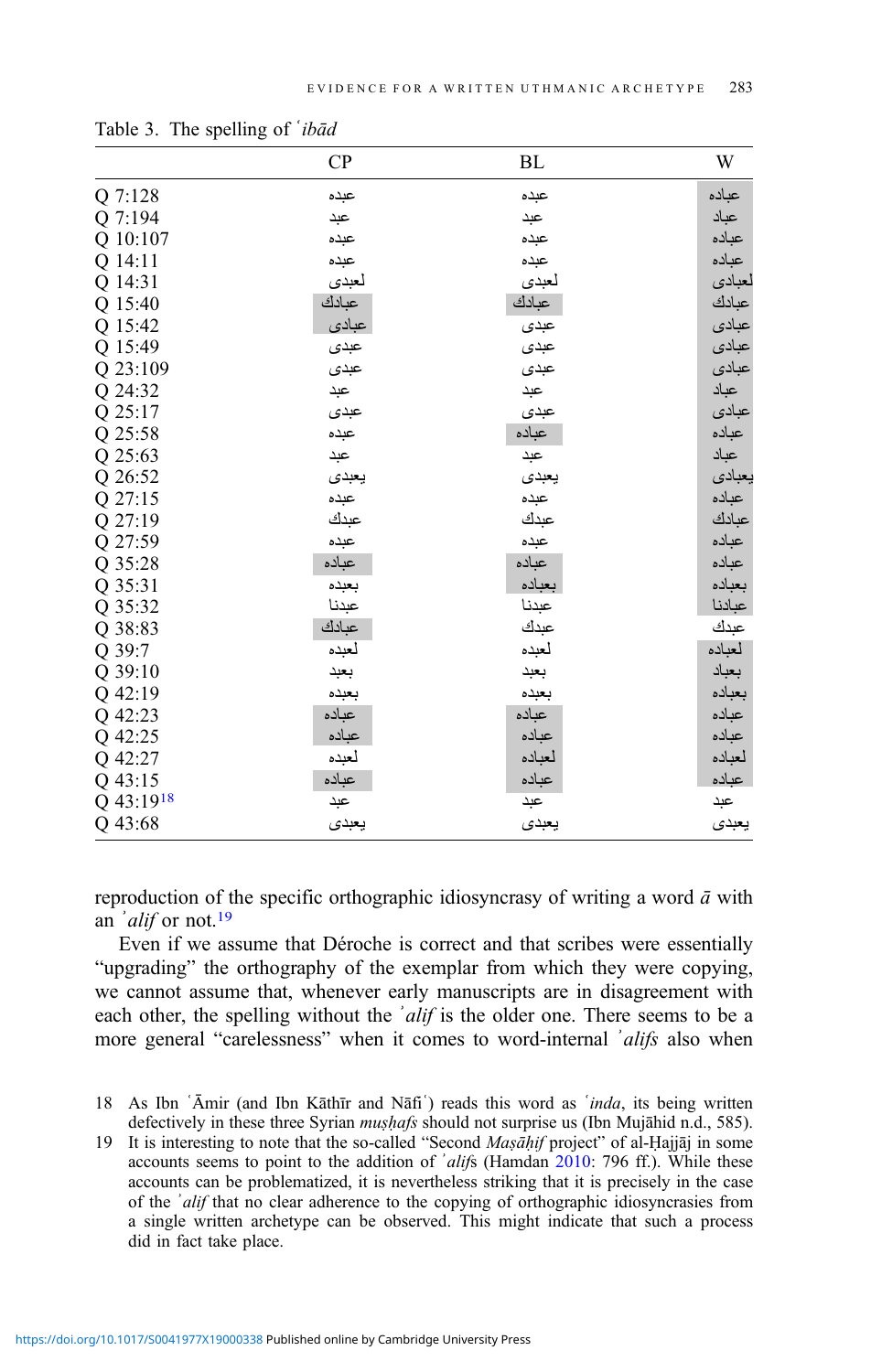|           | CP    | <b>BL</b> | W      |
|-----------|-------|-----------|--------|
| Q 7:128   | عبده  | عبده      | عباده  |
| Q 7:194   | عبد   | عبد       | عباد   |
| Q 10:107  | عبده  | عبده      | عباده  |
| Q 14:11   | عبده  | عبده      | عباده  |
| Q 14:31   | لعبدي | لعبدى     | لعبادي |
| Q 15:40   | عبادك | عبادك     | عبادك  |
| Q 15:42   | عبادى | عبدى      | عبادى  |
| Q 15:49   | عبدى  | عبدى      | عبادى  |
| Q 23:109  | عبدى  | عبدى      | عبادى  |
| Q 24:32   | عبد   | عبد       | عباد   |
| Q 25:17   | عبدى  | عبدى      | عبادى  |
| Q 25:58   | عبده  | عباده     | عباده  |
| Q 25:63   | عبد   | عبد       | عباد   |
| Q 26:52   | يعبدي | يعبدي     | يعبادى |
| Q 27:15   | عبده  | عبده      | عباده  |
| Q 27:19   | عبدك  | عبدك      | عبادك  |
| Q 27:59   | عبده  | عبده      | عباده  |
| Q 35:28   | عباده | عباده     | عباده  |
| Q 35:31   | بعبده | بعناده    | بعباده |
| Q 35:32   | عبدنا | عبدنا     | عبادنا |
| Q 38:83   | عىادك | عدك       | عبدك   |
| Q 39:7    | لعبده | لعبده     | لعباده |
| Q 39:10   | بعبد  | بعبد      | بعباد  |
| Q 42:19   | بعبده | بعبده     | بعباده |
| Q 42:23   | عباده | عباده     | عباده  |
| Q 42:25   | عىاده | عباده     | عباده  |
| Q 42:27   | لعبده | لعباده    | لعباده |
| Q 43:15   | عباده | عباده     | عباده  |
| Q 43:1918 | عبد   | عبد       | عبد    |
| Q 43:68   | يعبدى | يعبدي     | يعبدي  |

<span id="page-12-0"></span>Table 3. The spelling of *ibad* 

reproduction of the specific orthographic idiosyncrasy of writing a word  $\bar{a}$  with an *'alif* or not.<sup>19</sup>

Even if we assume that Déroche is correct and that scribes were essentially "upgrading" the orthography of the exemplar from which they were copying, we cannot assume that, whenever early manuscripts are in disagreement with each other, the spelling without the 'alif is the older one. There seems to be a more general "carelessness" when it comes to word-internal *'alifs* also when

18 As Ibn `Āmir (and Ibn Kāthīr and Nāfi') reads this word as 'inda, its being written defectively in these three Syrian muṣḥafs should not surprise us (Ibn Mujāhid n.d., 585).

19 It is interesting to note that the so-called "Second Maṣāḥif project" of al-Ḥajjāj in some accounts seems to point to the addition of 'alifs (Hamdan [2010](#page-16-0): 796 ff.). While these accounts can be problematized, it is nevertheless striking that it is precisely in the case of the ʾalif that no clear adherence to the copying of orthographic idiosyncrasies from a single written archetype can be observed. This might indicate that such a process did in fact take place.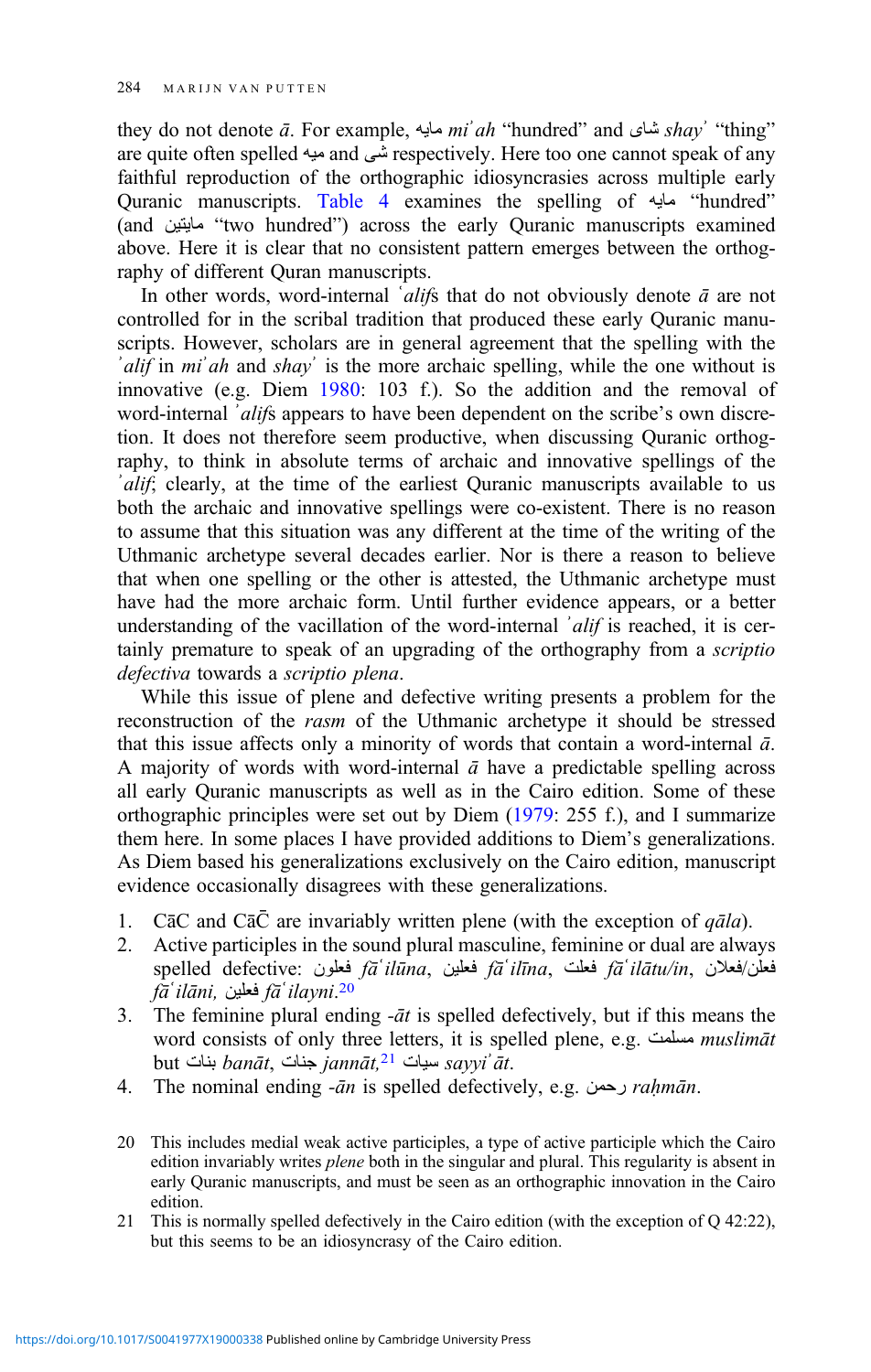they do not denote  $\bar{a}$ . For example, مايه mi'ah "hundred" and شاى shay' "thing" are quite often spelled ميه and شى respectively. Here too one cannot speak of any faithful reproduction of the orthographic idiosyncrasies across multiple early Quranic manuscripts. [Table 4](#page-14-0) examines the spelling of مايه" hundred" (and مايتين" two hundred") across the early Quranic manuscripts examined above. Here it is clear that no consistent pattern emerges between the orthography of different Quran manuscripts.

In other words, word-internal *'alifs* that do not obviously denote  $\bar{a}$  are not controlled for in the scribal tradition that produced these early Quranic manuscripts. However, scholars are in general agreement that the spelling with the  $\hat{i}$ alif in mi $\hat{i}$ ah and shay $\hat{i}$  is the more archaic spelling, while the one without is innovative (e.g. Diem [1980](#page-16-0): 103 f.). So the addition and the removal of word-internal *'alifs* appears to have been dependent on the scribe's own discretion. It does not therefore seem productive, when discussing Quranic orthography, to think in absolute terms of archaic and innovative spellings of the *diff*; clearly, at the time of the earliest Quranic manuscripts available to us both the archaic and innovative spellings were co-existent. There is no reason to assume that this situation was any different at the time of the writing of the Uthmanic archetype several decades earlier. Nor is there a reason to believe that when one spelling or the other is attested, the Uthmanic archetype must have had the more archaic form. Until further evidence appears, or a better understanding of the vacillation of the word-internal *'alif* is reached, it is certainly premature to speak of an upgrading of the orthography from a scriptio defectiva towards a scriptio plena.

While this issue of plene and defective writing presents a problem for the reconstruction of the rasm of the Uthmanic archetype it should be stressed that this issue affects only a minority of words that contain a word-internal  $\bar{a}$ . A majority of words with word-internal  $\bar{a}$  have a predictable spelling across all early Quranic manuscripts as well as in the Cairo edition. Some of these orthographic principles were set out by Diem [\(1979](#page-16-0): 255 f.), and I summarize them here. In some places I have provided additions to Diem's generalizations. As Diem based his generalizations exclusively on the Cairo edition, manuscript evidence occasionally disagrees with these generalizations.

- 1. CāC and Cā $\overline{C}$  are invariably written plene (with the exception of  $q\bar{a}la$ ).
- 2. Active participles in the sound plural masculine, feminine or dual are always spelled defective: فعلن/فعلان fāʿilūna, فعلين fāʿilīna, فعلين fāʿilātu/in, فعلن/فعلان fāʿilāni, فعلين fāʿilayni. 20
- 3. The feminine plural ending  $-\bar{a}t$  is spelled defectively, but if this means the word consists of only three letters, it is spelled plene, e.g. مسلمت muslimāt but سيات jannāt, $2^1$ جنات banāt, بنات sayyi'āt.
- 4. The nominal ending -ān is spelled defectively, e.g. رحمن raḥmān.
- 20 This includes medial weak active participles, a type of active participle which the Cairo edition invariably writes *plene* both in the singular and plural. This regularity is absent in early Quranic manuscripts, and must be seen as an orthographic innovation in the Cairo edition.
- 21 This is normally spelled defectively in the Cairo edition (with the exception of Q 42:22), but this seems to be an idiosyncrasy of the Cairo edition.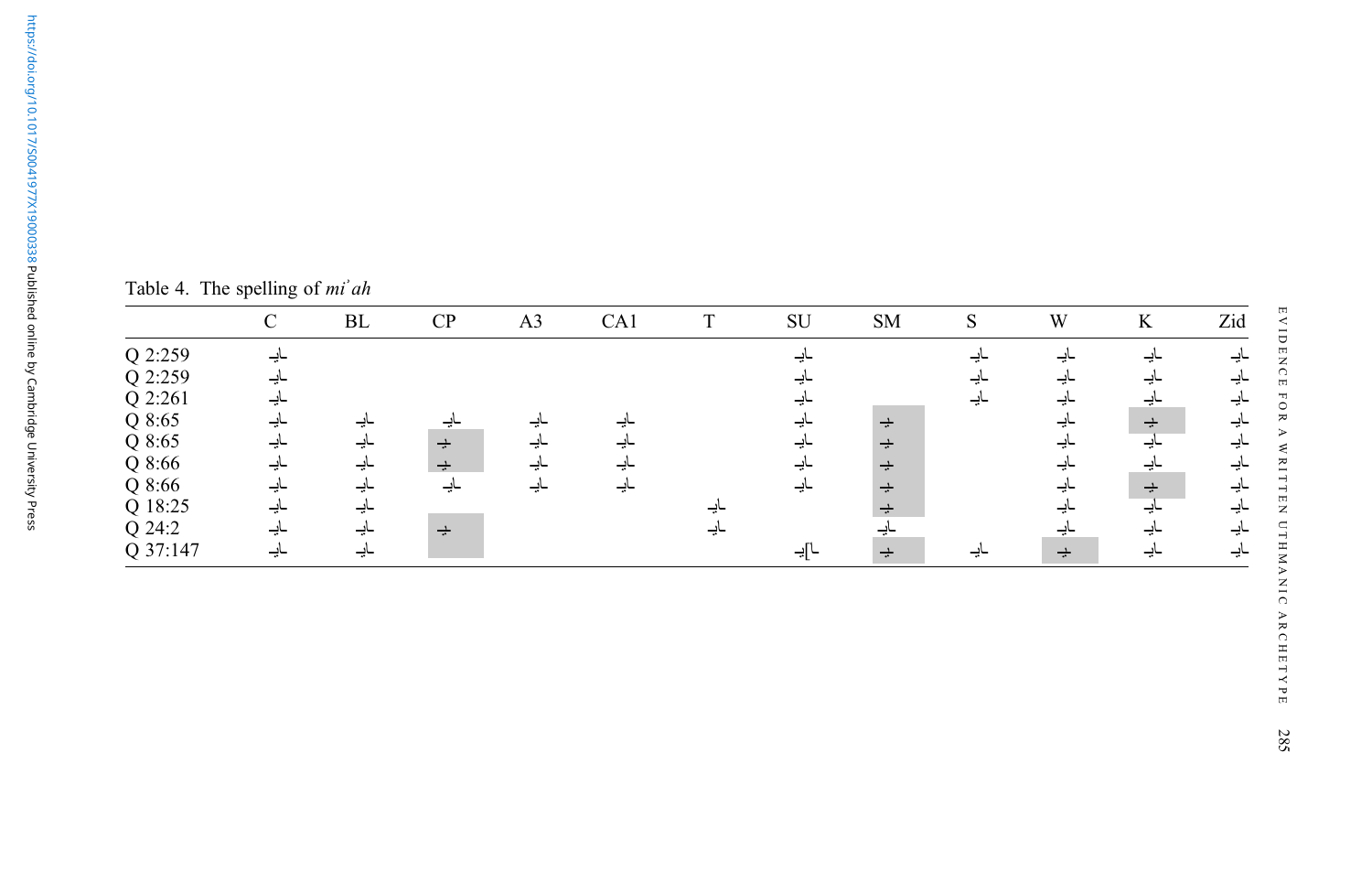<span id="page-14-0"></span>

|                   | $\mathbf C$  | ${\rm BL}$   | CP     | A3     | CA1   | T   | ${\rm SU}$ | SM             | ${\bf S}$ | W              | $\rm K$ | Zid |
|-------------------|--------------|--------------|--------|--------|-------|-----|------------|----------------|-----------|----------------|---------|-----|
| Q 2:259           | ــایــ       |              |        |        |       |     |            |                | ⊣یــ      | ـایــ          | ـايــ   |     |
| Q 2:259           | بايد         |              |        |        |       |     |            |                | ـايــ     | بايد           |         |     |
| Q 2:261           | بايد         |              |        |        |       |     |            |                | ـايــ     | ـايــ          | بايد    |     |
| Q 8:65            | ـاپ          |              |        | ⊣پ     |       |     |            | $\div$         |           | بايد           | $\div$  | ایہ |
| Q 8:65            | ـايــ        | بايد         | $\div$ | ⊣يــ   |       |     |            | ÷              |           | ⊣پـ            |         |     |
| Q8:66             | ـايــ        | ⊣پـ          | $\div$ | ⊣پـ    | ⊣یــ  |     |            | $\div$         |           | ـايــ          | بايد    |     |
| Q $8:66$          | ـايــ        | ـايــ        | ـايــ  | ــايــ | ـايــ |     | ـايــ      | ÷              |           | بايد           | $\div$  |     |
| Q 18:25<br>Q 24:2 | بايد         | ⊣پـ          |        |        |       |     |            | $\div$         |           | ⊣يــ           | ــانـــ |     |
| Q 37:147          | ـايــ<br>ـاپ | ⊣پـ<br>ـايــ | $\div$ |        |       | ⊣پـ | ⊾]پ        | حايد<br>$\div$ | ـايــ     | بايد<br>$\div$ | بايد    |     |
|                   |              |              |        |        |       |     |            |                |           |                |         |     |

285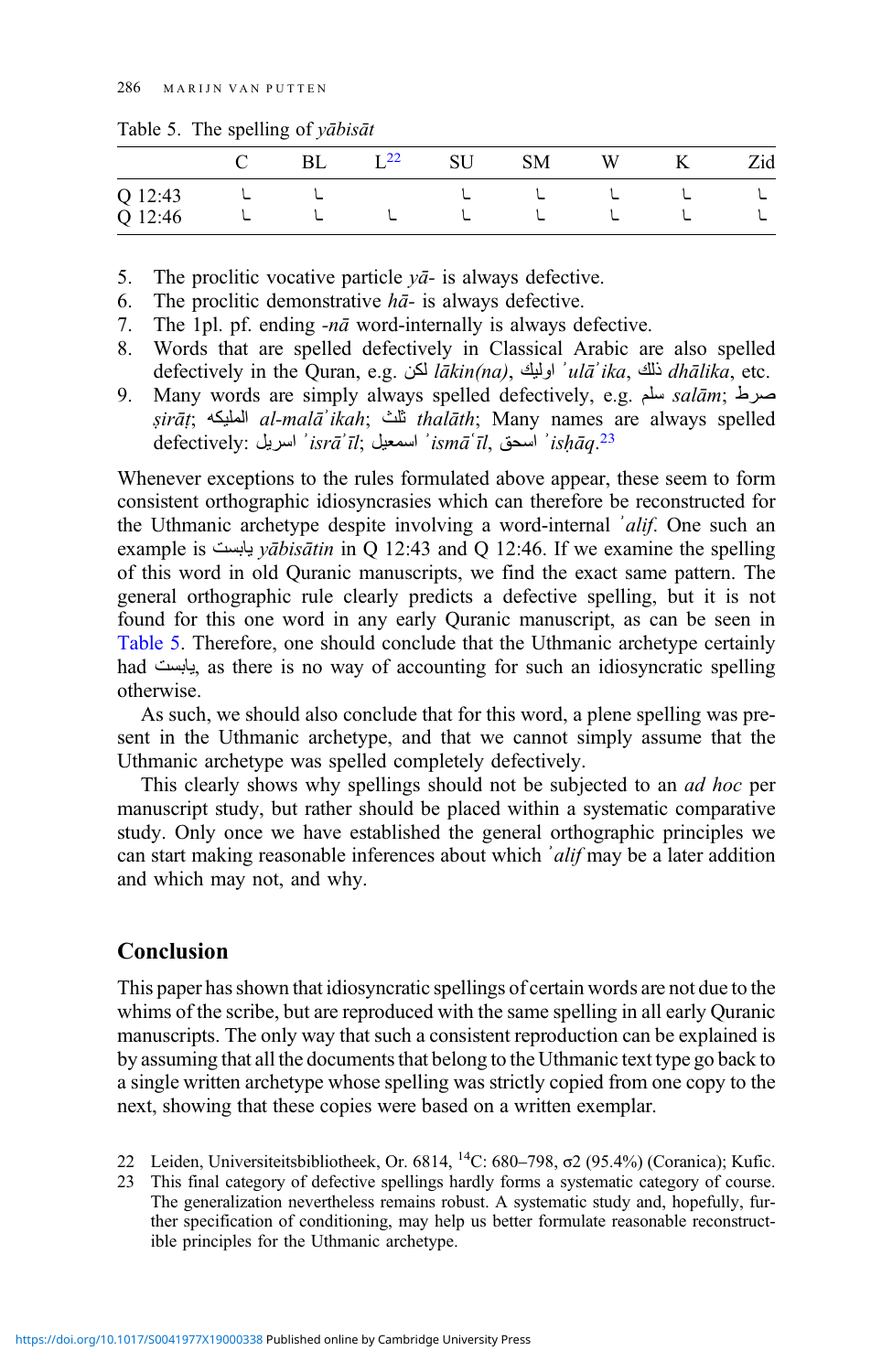|         |  | C BL $L^{22}$ SU | SM W K          |  | Zid |
|---------|--|------------------|-----------------|--|-----|
| Q 12:43 |  |                  | L L L L L L L   |  |     |
| Q 12:46 |  |                  | L L L L L L L L |  |     |

Table 5. The spelling of yābisāt

5. The proclitic vocative particle  $y\bar{a}$ - is always defective.

6. The proclitic demonstrative  $h\bar{a}$ - is always defective.

- 7. The 1pl. pf. ending  $-n\bar{a}$  word-internally is always defective.
- 8. Words that are spelled defectively in Classical Arabic are also spelled defectively in the Quran, e.g. لكن lākin(na), أوليك ʾulāʾika, أوليك defectively in the Quran, e.g.
- 9. Many words are simply always spelled defectively, e.g. سلم salām; صرط ṣirāṭ; المليكه al-malāʾikah; ثلث thalāth; Many names are always spelled defectively: اسريل ʾ $i$ sr $\vec{a}$ 'il; اسمعيل ʾ $\it i$ sḥā $q$ . $^2$ 3

Whenever exceptions to the rules formulated above appear, these seem to form consistent orthographic idiosyncrasies which can therefore be reconstructed for the Uthmanic archetype despite involving a word-internal *'alif*. One such an example is يابست yābisātin in Q 12:43 and Q 12:46. If we examine the spelling of this word in old Quranic manuscripts, we find the exact same pattern. The general orthographic rule clearly predicts a defective spelling, but it is not found for this one word in any early Quranic manuscript, as can be seen in Table 5. Therefore, one should conclude that the Uthmanic archetype certainly had يابست, as there is no way of accounting for such an idiosyncratic spelling otherwise.

As such, we should also conclude that for this word, a plene spelling was present in the Uthmanic archetype, and that we cannot simply assume that the Uthmanic archetype was spelled completely defectively.

This clearly shows why spellings should not be subjected to an *ad hoc* per manuscript study, but rather should be placed within a systematic comparative study. Only once we have established the general orthographic principles we can start making reasonable inferences about which *'alif* may be a later addition and which may not, and why.

#### Conclusion

This paper has shown that idiosyncratic spellings of certain words are not due to the whims of the scribe, but are reproduced with the same spelling in all early Quranic manuscripts. The only way that such a consistent reproduction can be explained is by assuming that all the documents that belong to the Uthmanic text type go back to a single written archetype whose spelling was strictly copied from one copy to the next, showing that these copies were based on a written exemplar.

- 22 Leiden, Universiteitsbibliotheek, Or. 6814, 14C: 680–798, σ2 (95.4%) (Coranica); Kufic.
- 23 This final category of defective spellings hardly forms a systematic category of course. The generalization nevertheless remains robust. A systematic study and, hopefully, further specification of conditioning, may help us better formulate reasonable reconstructible principles for the Uthmanic archetype.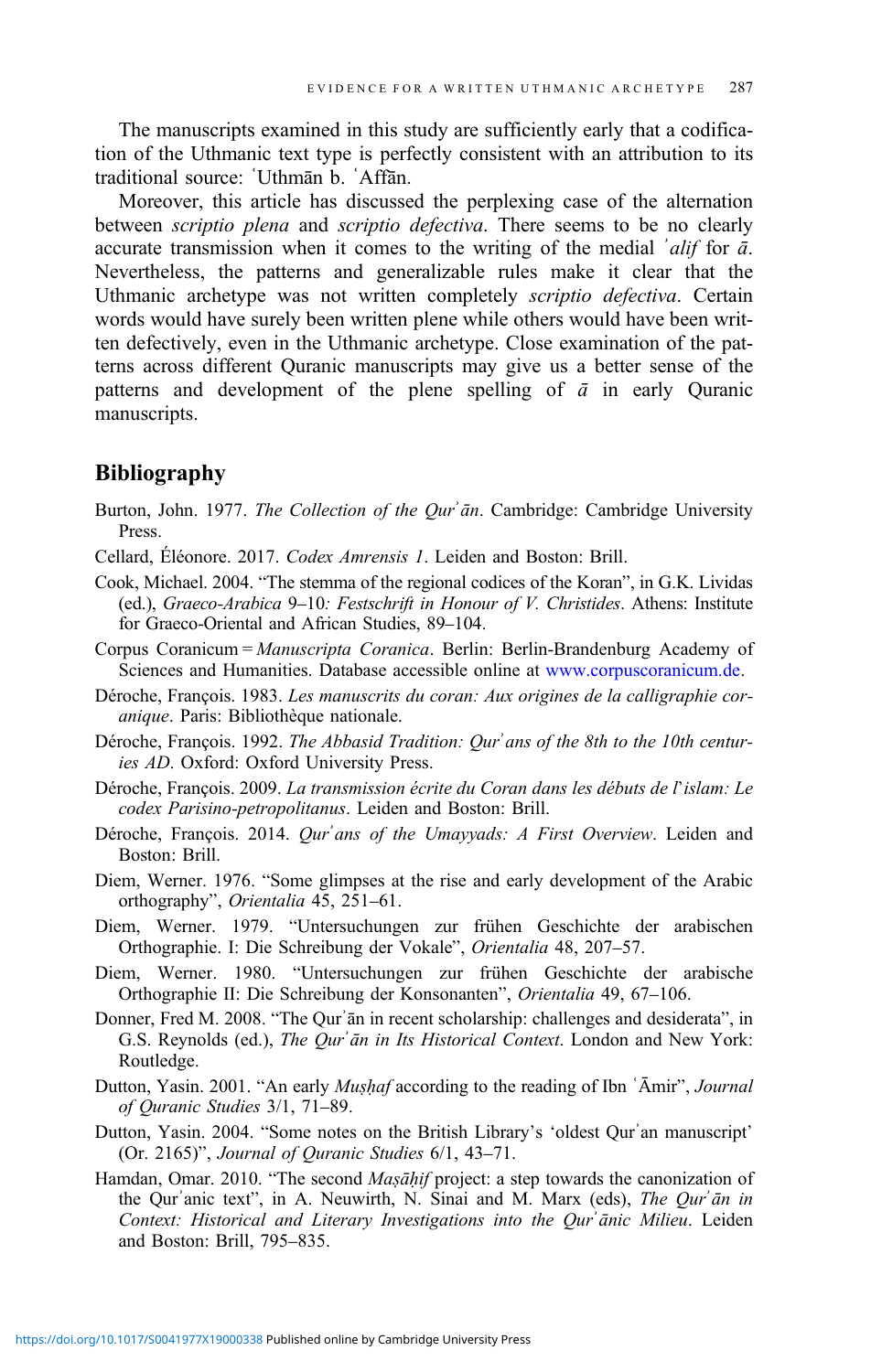<span id="page-16-0"></span>The manuscripts examined in this study are sufficiently early that a codification of the Uthmanic text type is perfectly consistent with an attribution to its traditional source: ʿUthmān b. ʿAffān.

Moreover, this article has discussed the perplexing case of the alternation between scriptio plena and scriptio defectiva. There seems to be no clearly accurate transmission when it comes to the writing of the medial  $\partial$  alif for  $\bar{a}$ . Nevertheless, the patterns and generalizable rules make it clear that the Uthmanic archetype was not written completely scriptio defectiva. Certain words would have surely been written plene while others would have been written defectively, even in the Uthmanic archetype. Close examination of the patterns across different Quranic manuscripts may give us a better sense of the patterns and development of the plene spelling of  $\bar{a}$  in early Quranic manuscripts.

### Bibliography

- Burton, John. 1977. The Collection of the Qur'ān. Cambridge: Cambridge University Press.
- Cellard, Éléonore. 2017. Codex Amrensis 1. Leiden and Boston: Brill.
- Cook, Michael. 2004. "The stemma of the regional codices of the Koran", in G.K. Lividas (ed.), Graeco-Arabica 9–10: Festschrift in Honour of V. Christides. Athens: Institute for Graeco-Oriental and African Studies, 89–104.
- Corpus Coranicum = Manuscripta Coranica. Berlin: Berlin-Brandenburg Academy of Sciences and Humanities. Database accessible online at [www.corpuscoranicum.de](http://www.corpuscoranicum.de).
- Déroche, François. 1983. Les manuscrits du coran: Aux origines de la calligraphie coranique. Paris: Bibliothèque nationale.
- Déroche, François. 1992. The Abbasid Tradition: Qur'ans of the 8th to the 10th centuries AD. Oxford: Oxford University Press.
- Déroche, François. 2009. La transmission écrite du Coran dans les débuts de l'islam: Le codex Parisino-petropolitanus. Leiden and Boston: Brill.
- Déroche, François. 2014. *Our* ans of the Umayyads: A First Overview. Leiden and Boston: Brill.
- Diem, Werner. 1976. "Some glimpses at the rise and early development of the Arabic orthography", Orientalia 45, 251–61.
- Diem, Werner. 1979. "Untersuchungen zur frühen Geschichte der arabischen Orthographie. I: Die Schreibung der Vokale", Orientalia 48, 207–57.
- Diem, Werner. 1980. "Untersuchungen zur frühen Geschichte der arabische Orthographie II: Die Schreibung der Konsonanten", Orientalia 49, 67–106.
- Donner, Fred M. 2008. "The Qurʾān in recent scholarship: challenges and desiderata", in G.S. Reynolds (ed.), The Qurʾān in Its Historical Context. London and New York: Routledge.
- Dutton, Yasin. 2001. "An early Muṣḥaf according to the reading of Ibn ʿĀmir", Journal of Quranic Studies 3/1, 71–89.
- Dutton, Yasin. 2004. "Some notes on the British Library's 'oldest Qurʾan manuscript' (Or. 2165)", Journal of Quranic Studies 6/1, 43–71.
- Hamdan, Omar. 2010. "The second *Maṣāḥif* project: a step towards the canonization of the Qurʾanic text", in A. Neuwirth, N. Sinai and M. Marx (eds), The Qurʾān in Context: Historical and Literary Investigations into the Qurʾānic Milieu. Leiden and Boston: Brill, 795–835.